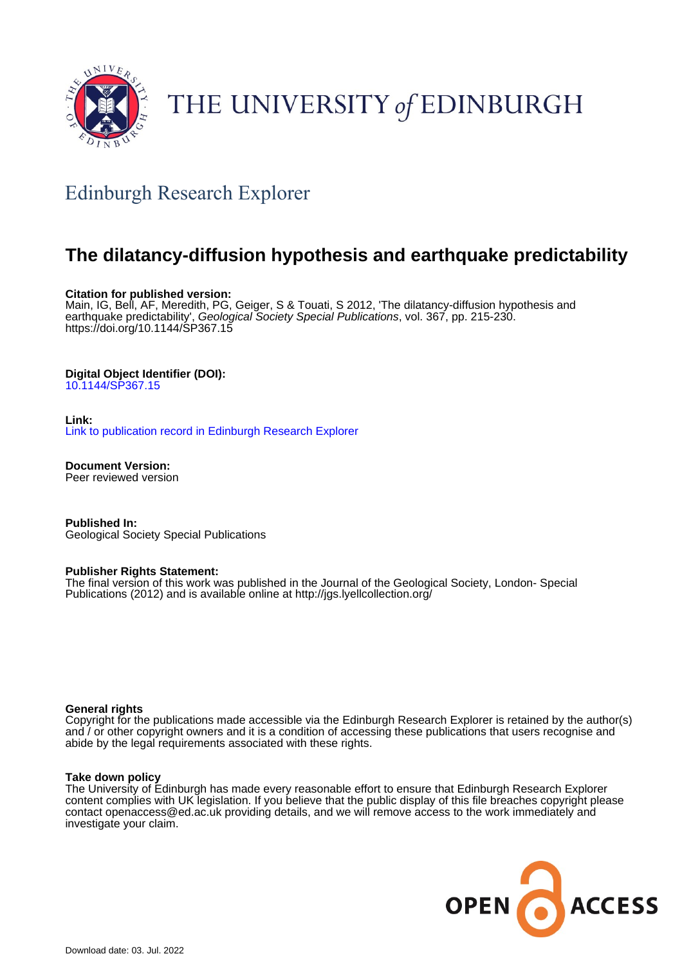

# THE UNIVERSITY of EDINBURGH

# Edinburgh Research Explorer

## **The dilatancy-diffusion hypothesis and earthquake predictability**

#### **Citation for published version:**

Main, IG, Bell, AF, Meredith, PG, Geiger, S & Touati, S 2012, 'The dilatancy-diffusion hypothesis and earthquake predictability', Geological Society Special Publications, vol. 367, pp. 215-230. <https://doi.org/10.1144/SP367.15>

#### **Digital Object Identifier (DOI):**

[10.1144/SP367.15](https://doi.org/10.1144/SP367.15)

#### **Link:**

[Link to publication record in Edinburgh Research Explorer](https://www.research.ed.ac.uk/en/publications/9d1fbd67-7faa-4adc-8c6f-d742fea1524c)

**Document Version:** Peer reviewed version

**Published In:** Geological Society Special Publications

#### **Publisher Rights Statement:**

The final version of this work was published in the Journal of the Geological Society, London- Special Publications (2012) and is available online at http://jgs.lyellcollection.org/

#### **General rights**

Copyright for the publications made accessible via the Edinburgh Research Explorer is retained by the author(s) and / or other copyright owners and it is a condition of accessing these publications that users recognise and abide by the legal requirements associated with these rights.

#### **Take down policy**

The University of Edinburgh has made every reasonable effort to ensure that Edinburgh Research Explorer content complies with UK legislation. If you believe that the public display of this file breaches copyright please contact openaccess@ed.ac.uk providing details, and we will remove access to the work immediately and investigate your claim.

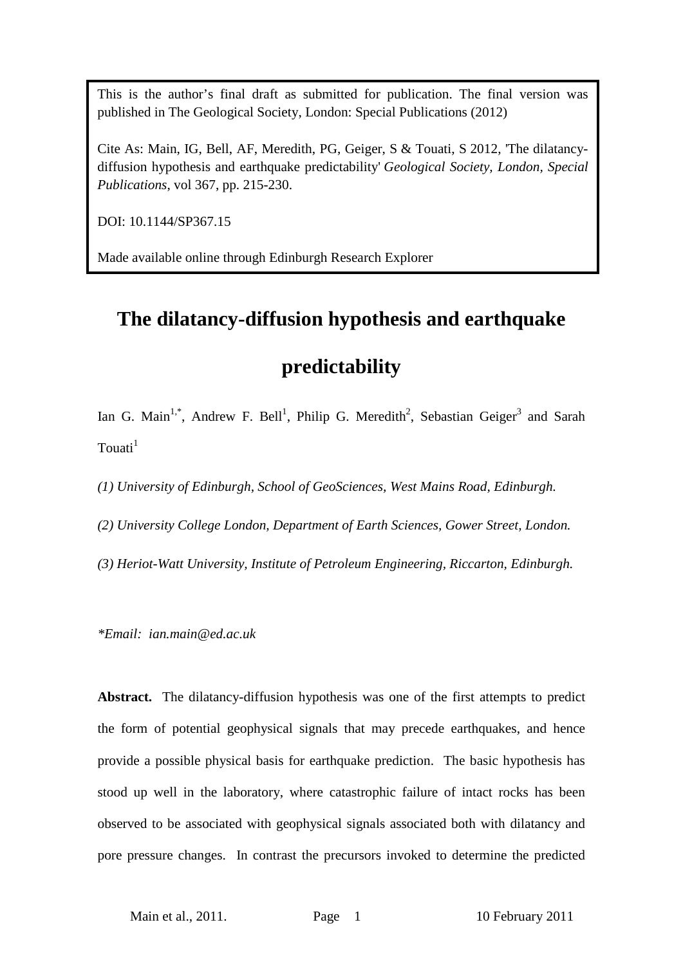This is the author's final draft as submitted for publication. The final version was published in The Geological Society, London: Special Publications (2012)

Cite As: Main, IG, Bell, AF, Meredith, PG, Geiger, S & Touati, S 2012, 'The dilatancydiffusion hypothesis and earthquake predictability' *Geological Society, London, Special Publications*, vol 367, pp. 215-230.

DOI: 10.1144/SP367.15

Made available online through Edinburgh Research Explorer

# **The dilatancy-diffusion hypothesis and earthquake**

### **predictability**

Ian G. Main<sup>1,\*</sup>, Andrew F. Bell<sup>1</sup>, Philip G. Meredith<sup>2</sup>, Sebastian Geiger<sup>3</sup> and Sarah  $T$ ouati $<sup>1</sup>$ </sup>

*(1) University of Edinburgh, School of GeoSciences, West Mains Road, Edinburgh.*

*(2) University College London, Department of Earth Sciences, Gower Street, London.*

*(3) Heriot-Watt University, Institute of Petroleum Engineering, Riccarton, Edinburgh.*

*\*Email: ian.main@ed.ac.uk*

**Abstract.** The dilatancy-diffusion hypothesis was one of the first attempts to predict the form of potential geophysical signals that may precede earthquakes, and hence provide a possible physical basis for earthquake prediction. The basic hypothesis has stood up well in the laboratory, where catastrophic failure of intact rocks has been observed to be associated with geophysical signals associated both with dilatancy and pore pressure changes. In contrast the precursors invoked to determine the predicted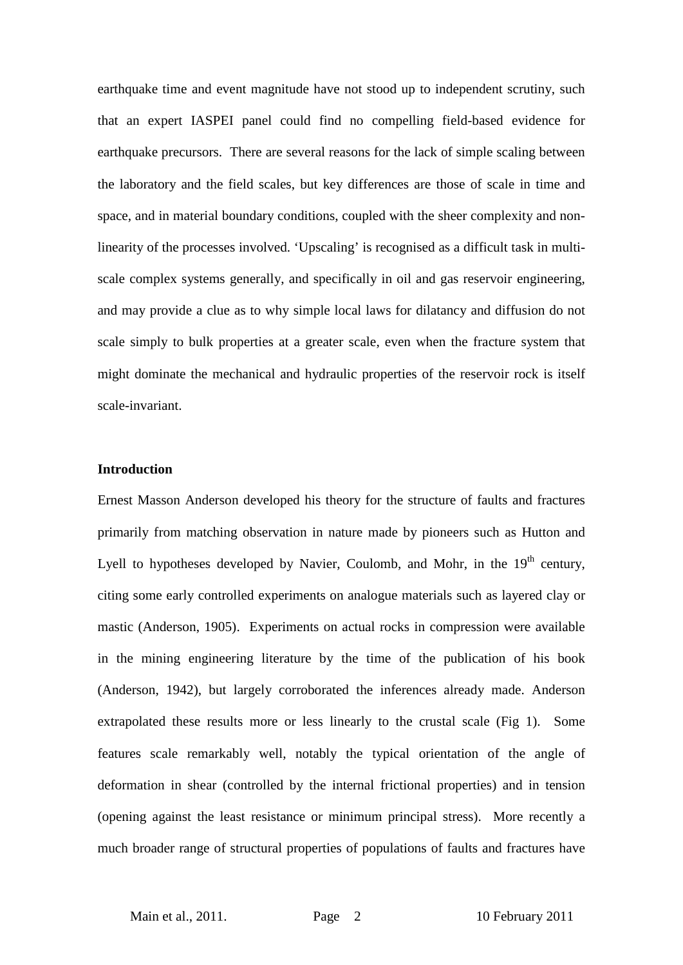earthquake time and event magnitude have not stood up to independent scrutiny, such that an expert IASPEI panel could find no compelling field-based evidence for earthquake precursors. There are several reasons for the lack of simple scaling between the laboratory and the field scales, but key differences are those of scale in time and space, and in material boundary conditions, coupled with the sheer complexity and nonlinearity of the processes involved. 'Upscaling' is recognised as a difficult task in multiscale complex systems generally, and specifically in oil and gas reservoir engineering, and may provide a clue as to why simple local laws for dilatancy and diffusion do not scale simply to bulk properties at a greater scale, even when the fracture system that might dominate the mechanical and hydraulic properties of the reservoir rock is itself scale-invariant.

#### **Introduction**

Ernest Masson Anderson developed his theory for the structure of faults and fractures primarily from matching observation in nature made by pioneers such as Hutton and Lyell to hypotheses developed by Navier, Coulomb, and Mohr, in the  $19<sup>th</sup>$  century, citing some early controlled experiments on analogue materials such as layered clay or mastic (Anderson, 1905). Experiments on actual rocks in compression were available in the mining engineering literature by the time of the publication of his book (Anderson, 1942), but largely corroborated the inferences already made. Anderson extrapolated these results more or less linearly to the crustal scale (Fig 1). Some features scale remarkably well, notably the typical orientation of the angle of deformation in shear (controlled by the internal frictional properties) and in tension (opening against the least resistance or minimum principal stress). More recently a much broader range of structural properties of populations of faults and fractures have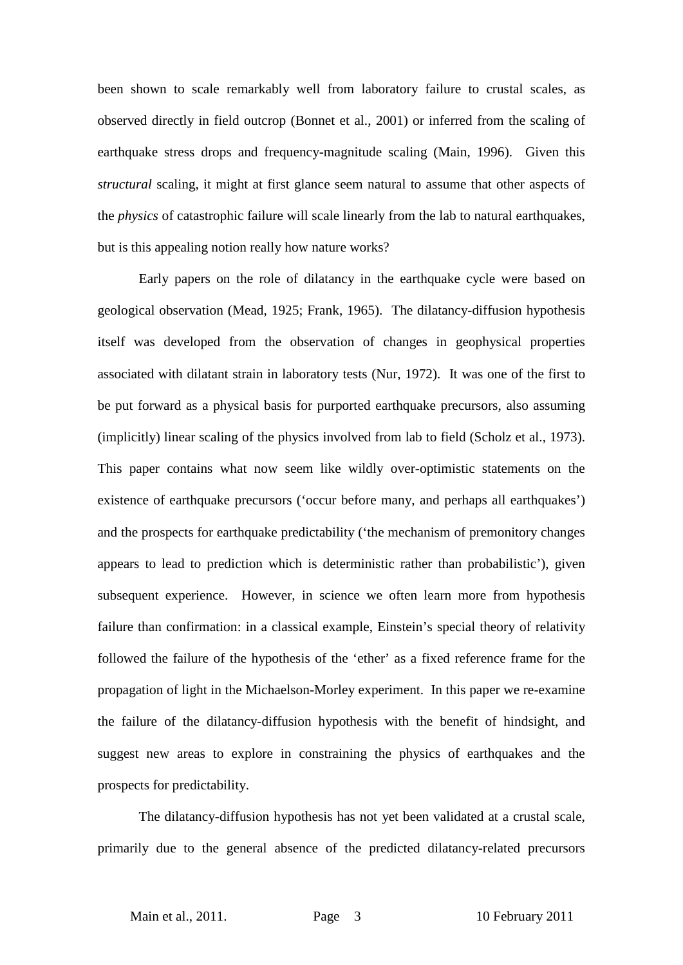been shown to scale remarkably well from laboratory failure to crustal scales, as observed directly in field outcrop (Bonnet et al., 2001) or inferred from the scaling of earthquake stress drops and frequency-magnitude scaling (Main, 1996). Given this *structural* scaling, it might at first glance seem natural to assume that other aspects of the *physics* of catastrophic failure will scale linearly from the lab to natural earthquakes, but is this appealing notion really how nature works?

Early papers on the role of dilatancy in the earthquake cycle were based on geological observation (Mead, 1925; Frank, 1965). The dilatancy-diffusion hypothesis itself was developed from the observation of changes in geophysical properties associated with dilatant strain in laboratory tests (Nur, 1972). It was one of the first to be put forward as a physical basis for purported earthquake precursors, also assuming (implicitly) linear scaling of the physics involved from lab to field (Scholz et al., 1973). This paper contains what now seem like wildly over-optimistic statements on the existence of earthquake precursors ('occur before many, and perhaps all earthquakes') and the prospects for earthquake predictability ('the mechanism of premonitory changes appears to lead to prediction which is deterministic rather than probabilistic'), given subsequent experience. However, in science we often learn more from hypothesis failure than confirmation: in a classical example, Einstein's special theory of relativity followed the failure of the hypothesis of the 'ether' as a fixed reference frame for the propagation of light in the Michaelson-Morley experiment. In this paper we re-examine the failure of the dilatancy-diffusion hypothesis with the benefit of hindsight, and suggest new areas to explore in constraining the physics of earthquakes and the prospects for predictability.

The dilatancy-diffusion hypothesis has not yet been validated at a crustal scale, primarily due to the general absence of the predicted dilatancy-related precursors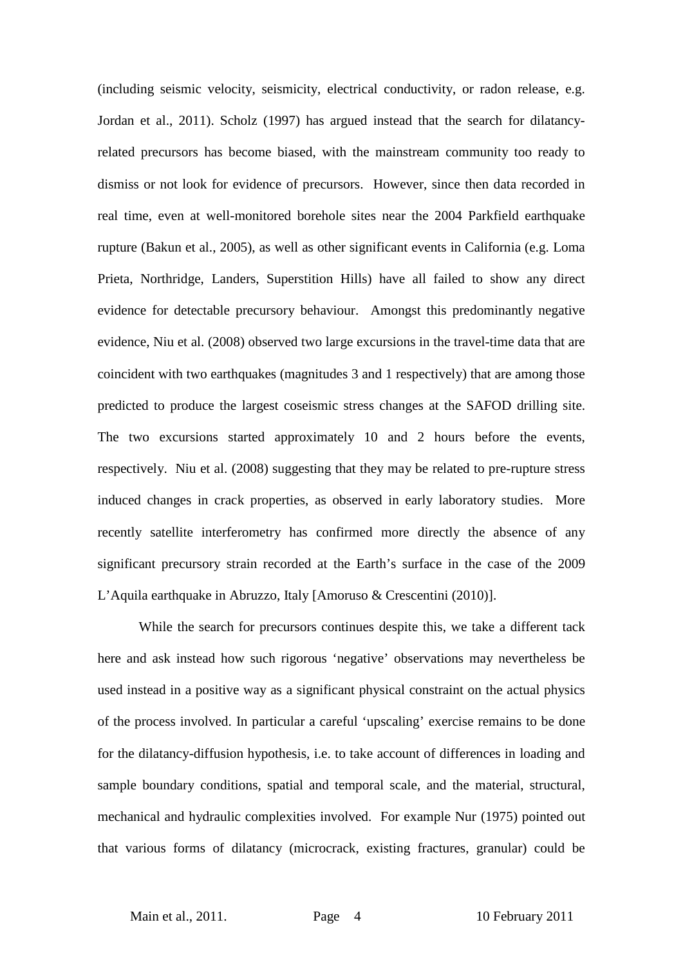(including seismic velocity, seismicity, electrical conductivity, or radon release, e.g. Jordan et al., 2011). Scholz (1997) has argued instead that the search for dilatancyrelated precursors has become biased, with the mainstream community too ready to dismiss or not look for evidence of precursors. However, since then data recorded in real time, even at well-monitored borehole sites near the 2004 Parkfield earthquake rupture (Bakun et al., 2005), as well as other significant events in California (e.g. Loma Prieta, Northridge, Landers, Superstition Hills) have all failed to show any direct evidence for detectable precursory behaviour. Amongst this predominantly negative evidence, Niu et al. (2008) observed two large excursions in the travel-time data that are coincident with two earthquakes (magnitudes 3 and 1 respectively) that are among those predicted to produce the largest coseismic stress changes at the SAFOD drilling site. The two excursions started approximately 10 and 2 hours before the events, respectively. Niu et al. (2008) suggesting that they may be related to pre-rupture stress induced changes in crack properties, as observed in early laboratory studies. More recently satellite interferometry has confirmed more directly the absence of any significant precursory strain recorded at the Earth's surface in the case of the 2009 L'Aquila earthquake in Abruzzo, Italy [Amoruso & Crescentini (2010)].

While the search for precursors continues despite this, we take a different tack here and ask instead how such rigorous 'negative' observations may nevertheless be used instead in a positive way as a significant physical constraint on the actual physics of the process involved. In particular a careful 'upscaling' exercise remains to be done for the dilatancy-diffusion hypothesis, i.e. to take account of differences in loading and sample boundary conditions, spatial and temporal scale, and the material, structural, mechanical and hydraulic complexities involved. For example Nur (1975) pointed out that various forms of dilatancy (microcrack, existing fractures, granular) could be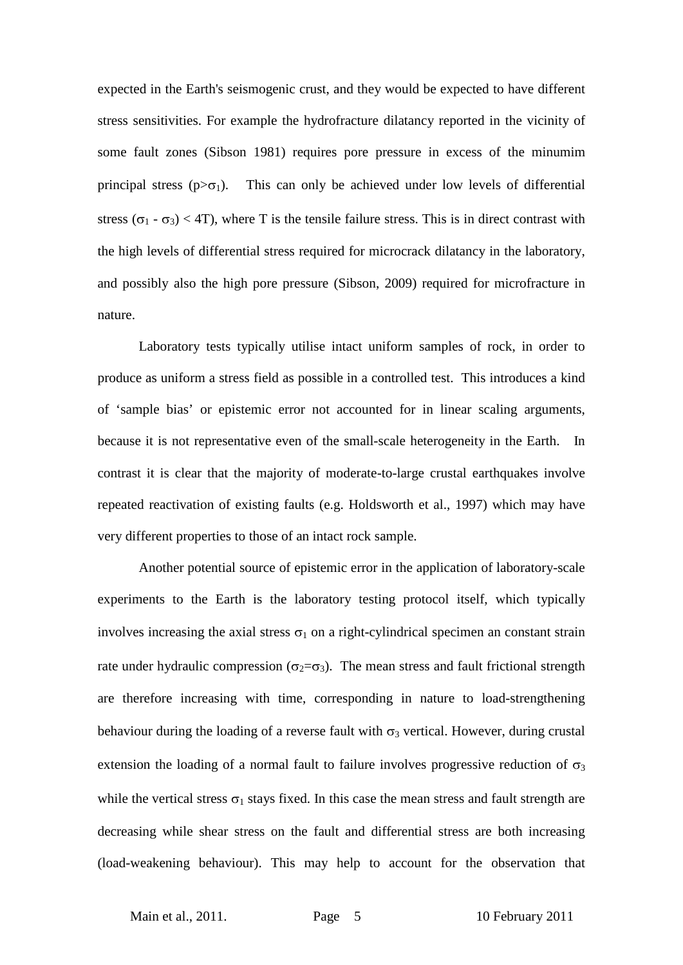expected in the Earth's seismogenic crust, and they would be expected to have different stress sensitivities. For example the hydrofracture dilatancy reported in the vicinity of some fault zones (Sibson 1981) requires pore pressure in excess of the minumim principal stress ( $p > \sigma_1$ ). This can only be achieved under low levels of differential stress ( $\sigma_1$  -  $\sigma_3$ ) < 4T), where T is the tensile failure stress. This is in direct contrast with the high levels of differential stress required for microcrack dilatancy in the laboratory, and possibly also the high pore pressure (Sibson, 2009) required for microfracture in nature.

Laboratory tests typically utilise intact uniform samples of rock, in order to produce as uniform a stress field as possible in a controlled test. This introduces a kind of 'sample bias' or epistemic error not accounted for in linear scaling arguments, because it is not representative even of the small-scale heterogeneity in the Earth. In contrast it is clear that the majority of moderate-to-large crustal earthquakes involve repeated reactivation of existing faults (e.g. Holdsworth et al., 1997) which may have very different properties to those of an intact rock sample.

Another potential source of epistemic error in the application of laboratory-scale experiments to the Earth is the laboratory testing protocol itself, which typically involves increasing the axial stress  $\sigma_1$  on a right-cylindrical specimen an constant strain rate under hydraulic compression ( $\sigma_2 = \sigma_3$ ). The mean stress and fault frictional strength are therefore increasing with time, corresponding in nature to load-strengthening behaviour during the loading of a reverse fault with  $\sigma_3$  vertical. However, during crustal extension the loading of a normal fault to failure involves progressive reduction of  $\sigma_3$ while the vertical stress  $\sigma_1$  stays fixed. In this case the mean stress and fault strength are decreasing while shear stress on the fault and differential stress are both increasing (load-weakening behaviour). This may help to account for the observation that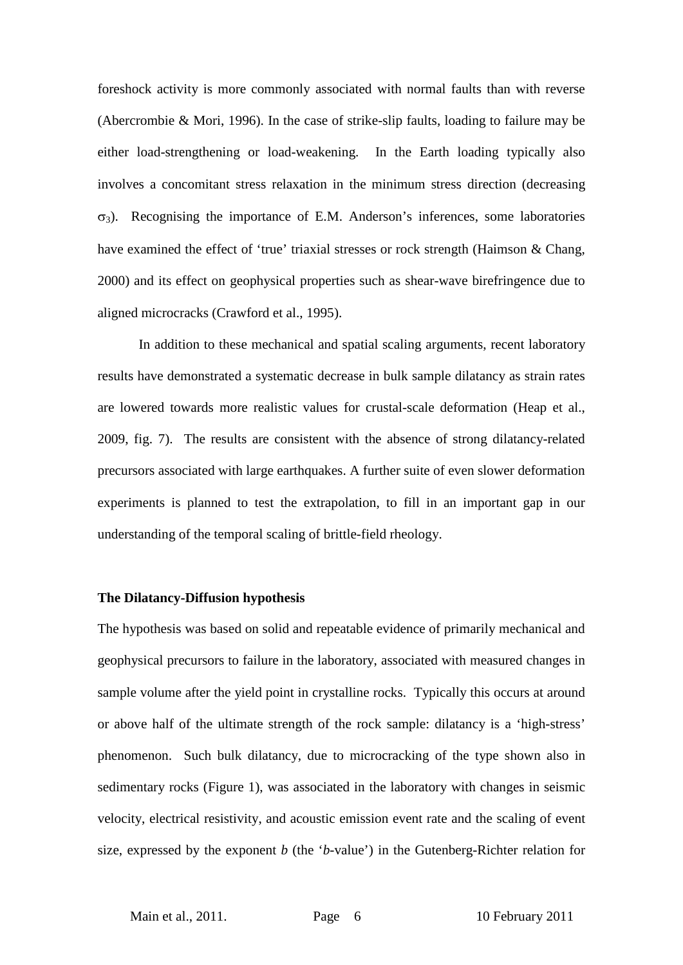foreshock activity is more commonly associated with normal faults than with reverse (Abercrombie & Mori, 1996). In the case of strike-slip faults, loading to failure may be either load-strengthening or load-weakening. In the Earth loading typically also involves a concomitant stress relaxation in the minimum stress direction (decreasing  $\sigma_3$ ). Recognising the importance of E.M. Anderson's inferences, some laboratories have examined the effect of 'true' triaxial stresses or rock strength (Haimson & Chang, 2000) and its effect on geophysical properties such as shear-wave birefringence due to aligned microcracks (Crawford et al., 1995).

In addition to these mechanical and spatial scaling arguments, recent laboratory results have demonstrated a systematic decrease in bulk sample dilatancy as strain rates are lowered towards more realistic values for crustal-scale deformation (Heap et al., 2009, fig. 7). The results are consistent with the absence of strong dilatancy-related precursors associated with large earthquakes. A further suite of even slower deformation experiments is planned to test the extrapolation, to fill in an important gap in our understanding of the temporal scaling of brittle-field rheology.

#### **The Dilatancy-Diffusion hypothesis**

The hypothesis was based on solid and repeatable evidence of primarily mechanical and geophysical precursors to failure in the laboratory, associated with measured changes in sample volume after the yield point in crystalline rocks. Typically this occurs at around or above half of the ultimate strength of the rock sample: dilatancy is a 'high-stress' phenomenon. Such bulk dilatancy, due to microcracking of the type shown also in sedimentary rocks (Figure 1), was associated in the laboratory with changes in seismic velocity, electrical resistivity, and acoustic emission event rate and the scaling of event size, expressed by the exponent *b* (the '*b*-value') in the Gutenberg-Richter relation for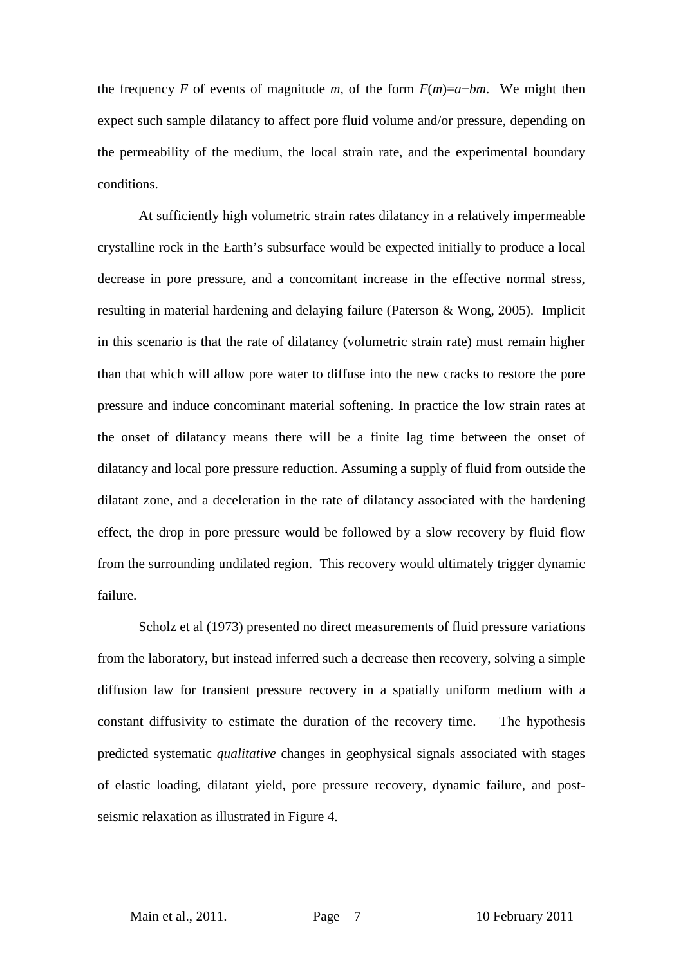the frequency *F* of events of magnitude *m*, of the form  $F(m)=a-bm$ . We might then expect such sample dilatancy to affect pore fluid volume and/or pressure, depending on the permeability of the medium, the local strain rate, and the experimental boundary conditions.

At sufficiently high volumetric strain rates dilatancy in a relatively impermeable crystalline rock in the Earth's subsurface would be expected initially to produce a local decrease in pore pressure, and a concomitant increase in the effective normal stress, resulting in material hardening and delaying failure (Paterson & Wong, 2005). Implicit in this scenario is that the rate of dilatancy (volumetric strain rate) must remain higher than that which will allow pore water to diffuse into the new cracks to restore the pore pressure and induce concominant material softening. In practice the low strain rates at the onset of dilatancy means there will be a finite lag time between the onset of dilatancy and local pore pressure reduction. Assuming a supply of fluid from outside the dilatant zone, and a deceleration in the rate of dilatancy associated with the hardening effect, the drop in pore pressure would be followed by a slow recovery by fluid flow from the surrounding undilated region. This recovery would ultimately trigger dynamic failure.

Scholz et al (1973) presented no direct measurements of fluid pressure variations from the laboratory, but instead inferred such a decrease then recovery, solving a simple diffusion law for transient pressure recovery in a spatially uniform medium with a constant diffusivity to estimate the duration of the recovery time. The hypothesis predicted systematic *qualitative* changes in geophysical signals associated with stages of elastic loading, dilatant yield, pore pressure recovery, dynamic failure, and postseismic relaxation as illustrated in Figure 4.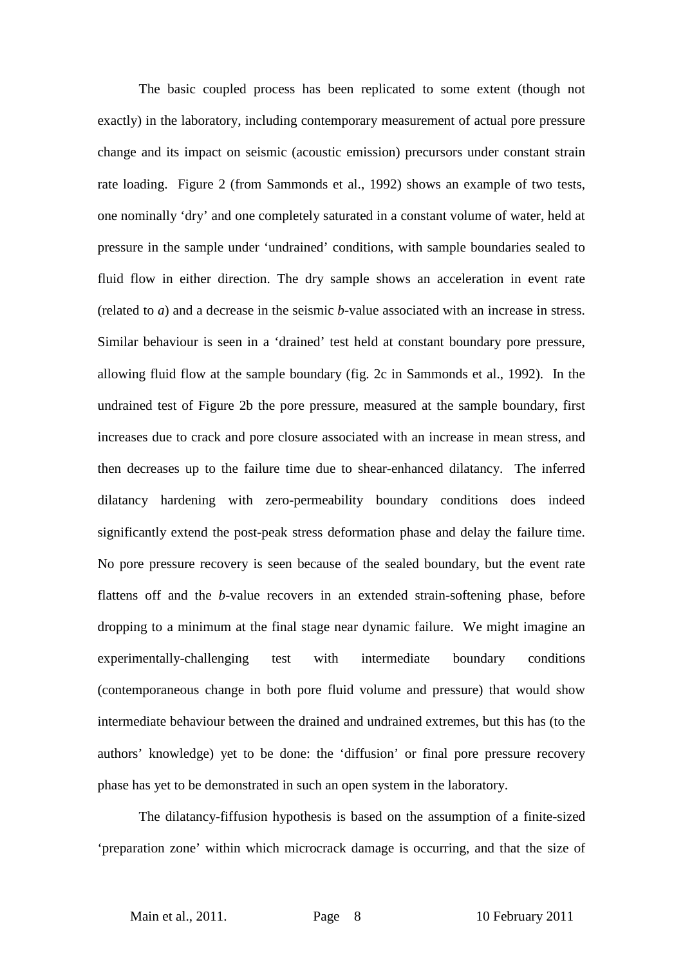The basic coupled process has been replicated to some extent (though not exactly) in the laboratory, including contemporary measurement of actual pore pressure change and its impact on seismic (acoustic emission) precursors under constant strain rate loading. Figure 2 (from Sammonds et al., 1992) shows an example of two tests, one nominally 'dry' and one completely saturated in a constant volume of water, held at pressure in the sample under 'undrained' conditions, with sample boundaries sealed to fluid flow in either direction. The dry sample shows an acceleration in event rate (related to *a*) and a decrease in the seismic *b*-value associated with an increase in stress. Similar behaviour is seen in a 'drained' test held at constant boundary pore pressure, allowing fluid flow at the sample boundary (fig. 2c in Sammonds et al., 1992). In the undrained test of Figure 2b the pore pressure, measured at the sample boundary, first increases due to crack and pore closure associated with an increase in mean stress, and then decreases up to the failure time due to shear-enhanced dilatancy. The inferred dilatancy hardening with zero-permeability boundary conditions does indeed significantly extend the post-peak stress deformation phase and delay the failure time. No pore pressure recovery is seen because of the sealed boundary, but the event rate flattens off and the *b*-value recovers in an extended strain-softening phase, before dropping to a minimum at the final stage near dynamic failure. We might imagine an experimentally-challenging test with intermediate boundary conditions (contemporaneous change in both pore fluid volume and pressure) that would show intermediate behaviour between the drained and undrained extremes, but this has (to the authors' knowledge) yet to be done: the 'diffusion' or final pore pressure recovery phase has yet to be demonstrated in such an open system in the laboratory.

The dilatancy-fiffusion hypothesis is based on the assumption of a finite-sized 'preparation zone' within which microcrack damage is occurring, and that the size of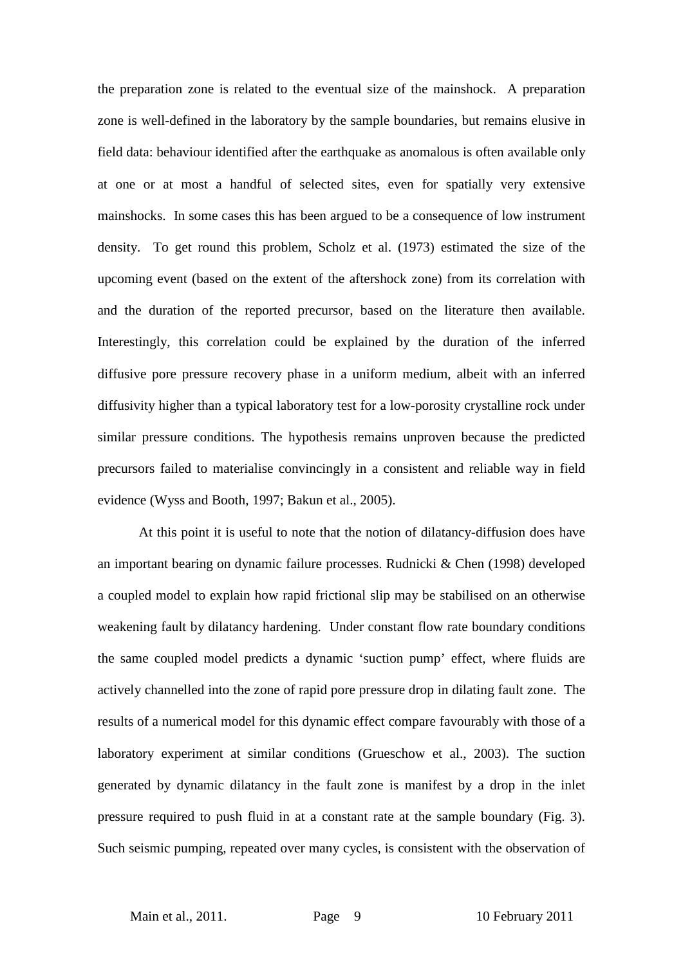the preparation zone is related to the eventual size of the mainshock. A preparation zone is well-defined in the laboratory by the sample boundaries, but remains elusive in field data: behaviour identified after the earthquake as anomalous is often available only at one or at most a handful of selected sites, even for spatially very extensive mainshocks. In some cases this has been argued to be a consequence of low instrument density. To get round this problem, Scholz et al. (1973) estimated the size of the upcoming event (based on the extent of the aftershock zone) from its correlation with and the duration of the reported precursor, based on the literature then available. Interestingly, this correlation could be explained by the duration of the inferred diffusive pore pressure recovery phase in a uniform medium, albeit with an inferred diffusivity higher than a typical laboratory test for a low-porosity crystalline rock under similar pressure conditions. The hypothesis remains unproven because the predicted precursors failed to materialise convincingly in a consistent and reliable way in field evidence (Wyss and Booth, 1997; Bakun et al., 2005).

At this point it is useful to note that the notion of dilatancy-diffusion does have an important bearing on dynamic failure processes. Rudnicki & Chen (1998) developed a coupled model to explain how rapid frictional slip may be stabilised on an otherwise weakening fault by dilatancy hardening. Under constant flow rate boundary conditions the same coupled model predicts a dynamic 'suction pump' effect, where fluids are actively channelled into the zone of rapid pore pressure drop in dilating fault zone. The results of a numerical model for this dynamic effect compare favourably with those of a laboratory experiment at similar conditions (Grueschow et al., 2003). The suction generated by dynamic dilatancy in the fault zone is manifest by a drop in the inlet pressure required to push fluid in at a constant rate at the sample boundary (Fig. 3). Such seismic pumping, repeated over many cycles, is consistent with the observation of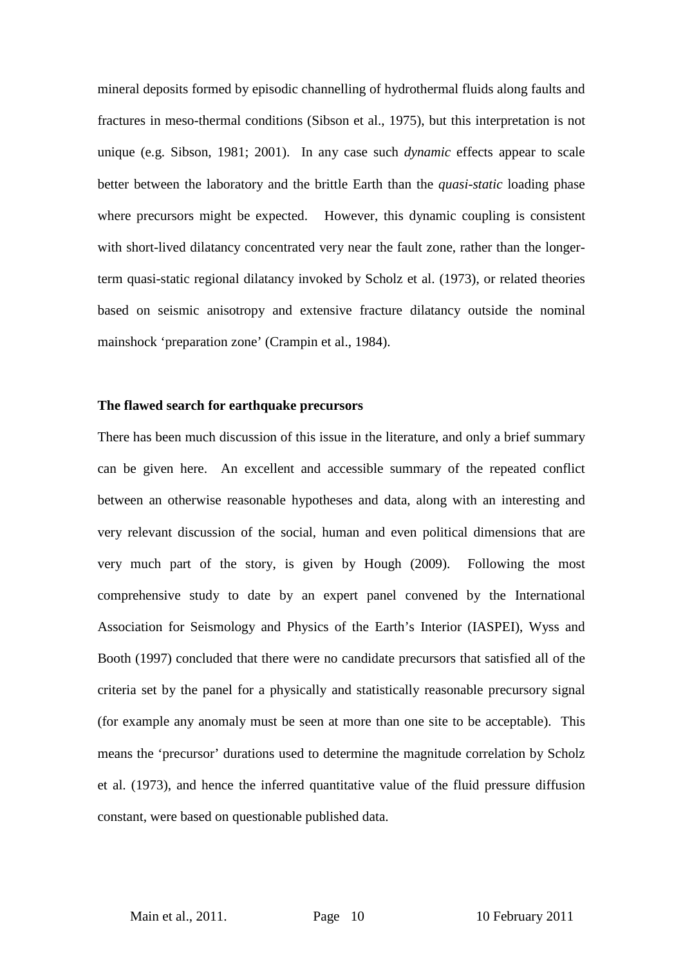mineral deposits formed by episodic channelling of hydrothermal fluids along faults and fractures in meso-thermal conditions (Sibson et al., 1975), but this interpretation is not unique (e.g. Sibson, 1981; 2001). In any case such *dynamic* effects appear to scale better between the laboratory and the brittle Earth than the *quasi-static* loading phase where precursors might be expected. However, this dynamic coupling is consistent with short-lived dilatancy concentrated very near the fault zone, rather than the longerterm quasi-static regional dilatancy invoked by Scholz et al. (1973), or related theories based on seismic anisotropy and extensive fracture dilatancy outside the nominal mainshock 'preparation zone' (Crampin et al., 1984).

#### **The flawed search for earthquake precursors**

There has been much discussion of this issue in the literature, and only a brief summary can be given here. An excellent and accessible summary of the repeated conflict between an otherwise reasonable hypotheses and data, along with an interesting and very relevant discussion of the social, human and even political dimensions that are very much part of the story, is given by Hough (2009). Following the most comprehensive study to date by an expert panel convened by the International Association for Seismology and Physics of the Earth's Interior (IASPEI), Wyss and Booth (1997) concluded that there were no candidate precursors that satisfied all of the criteria set by the panel for a physically and statistically reasonable precursory signal (for example any anomaly must be seen at more than one site to be acceptable). This means the 'precursor' durations used to determine the magnitude correlation by Scholz et al. (1973), and hence the inferred quantitative value of the fluid pressure diffusion constant, were based on questionable published data.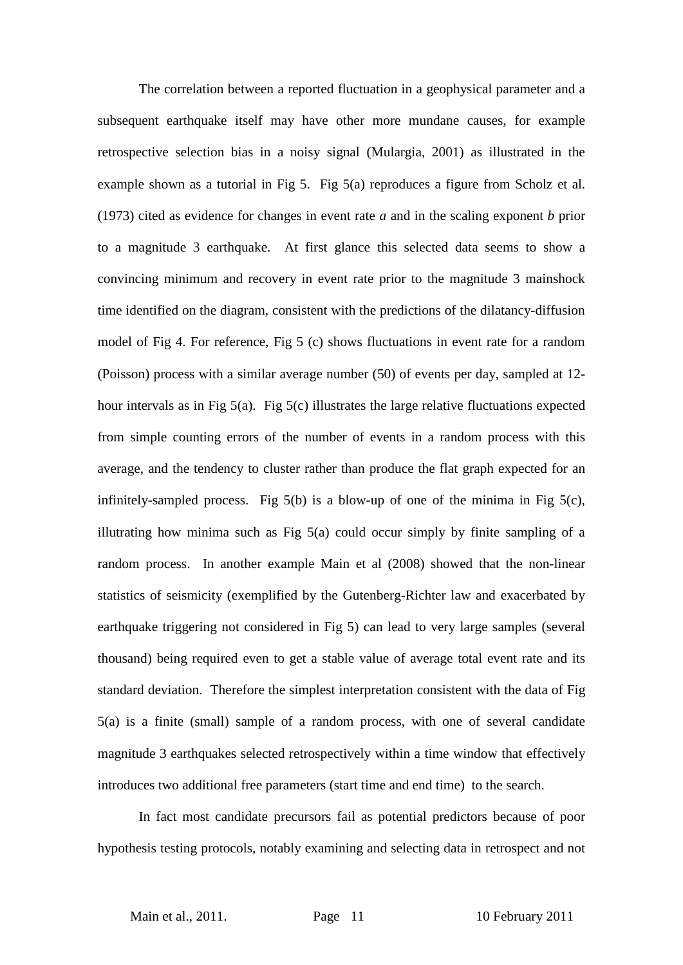The correlation between a reported fluctuation in a geophysical parameter and a subsequent earthquake itself may have other more mundane causes, for example retrospective selection bias in a noisy signal (Mulargia, 2001) as illustrated in the example shown as a tutorial in Fig 5. Fig 5(a) reproduces a figure from Scholz et al. (1973) cited as evidence for changes in event rate *a* and in the scaling exponent *b* prior to a magnitude 3 earthquake. At first glance this selected data seems to show a convincing minimum and recovery in event rate prior to the magnitude 3 mainshock time identified on the diagram, consistent with the predictions of the dilatancy-diffusion model of Fig 4. For reference, Fig 5 (c) shows fluctuations in event rate for a random (Poisson) process with a similar average number (50) of events per day, sampled at 12 hour intervals as in Fig 5(a). Fig 5(c) illustrates the large relative fluctuations expected from simple counting errors of the number of events in a random process with this average, and the tendency to cluster rather than produce the flat graph expected for an infinitely-sampled process. Fig  $5(b)$  is a blow-up of one of the minima in Fig  $5(c)$ , illutrating how minima such as Fig 5(a) could occur simply by finite sampling of a random process. In another example Main et al (2008) showed that the non-linear statistics of seismicity (exemplified by the Gutenberg-Richter law and exacerbated by earthquake triggering not considered in Fig 5) can lead to very large samples (several thousand) being required even to get a stable value of average total event rate and its standard deviation. Therefore the simplest interpretation consistent with the data of Fig 5(a) is a finite (small) sample of a random process, with one of several candidate magnitude 3 earthquakes selected retrospectively within a time window that effectively introduces two additional free parameters (start time and end time) to the search.

In fact most candidate precursors fail as potential predictors because of poor hypothesis testing protocols, notably examining and selecting data in retrospect and not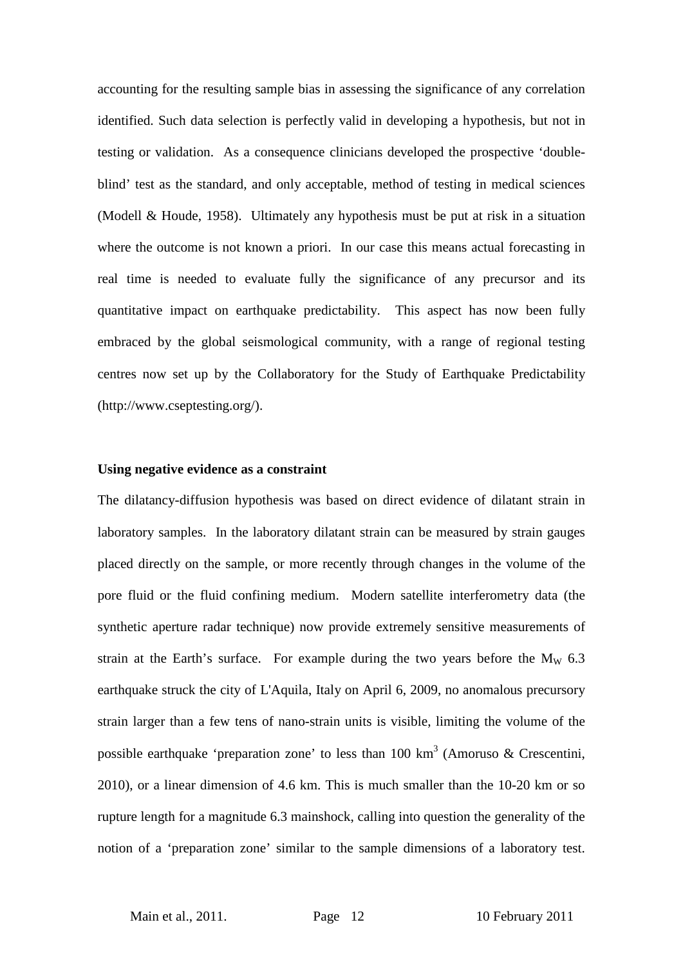accounting for the resulting sample bias in assessing the significance of any correlation identified. Such data selection is perfectly valid in developing a hypothesis, but not in testing or validation. As a consequence clinicians developed the prospective 'doubleblind' test as the standard, and only acceptable, method of testing in medical sciences (Modell & Houde, 1958). Ultimately any hypothesis must be put at risk in a situation where the outcome is not known a priori. In our case this means actual forecasting in real time is needed to evaluate fully the significance of any precursor and its quantitative impact on earthquake predictability. This aspect has now been fully embraced by the global seismological community, with a range of regional testing centres now set up by the Collaboratory for the Study of Earthquake Predictability (http://www.cseptesting.org/).

#### **Using negative evidence as a constraint**

The dilatancy-diffusion hypothesis was based on direct evidence of dilatant strain in laboratory samples. In the laboratory dilatant strain can be measured by strain gauges placed directly on the sample, or more recently through changes in the volume of the pore fluid or the fluid confining medium. Modern satellite interferometry data (the synthetic aperture radar technique) now provide extremely sensitive measurements of strain at the Earth's surface. For example during the two years before the  $M_W$  6.3 earthquake struck the city of L'Aquila, Italy on April 6, 2009, no anomalous precursory strain larger than a few tens of nano-strain units is visible, limiting the volume of the possible earthquake 'preparation zone' to less than 100 km<sup>3</sup> (Amoruso & Crescentini, 2010), or a linear dimension of 4.6 km. This is much smaller than the 10-20 km or so rupture length for a magnitude 6.3 mainshock, calling into question the generality of the notion of a 'preparation zone' similar to the sample dimensions of a laboratory test.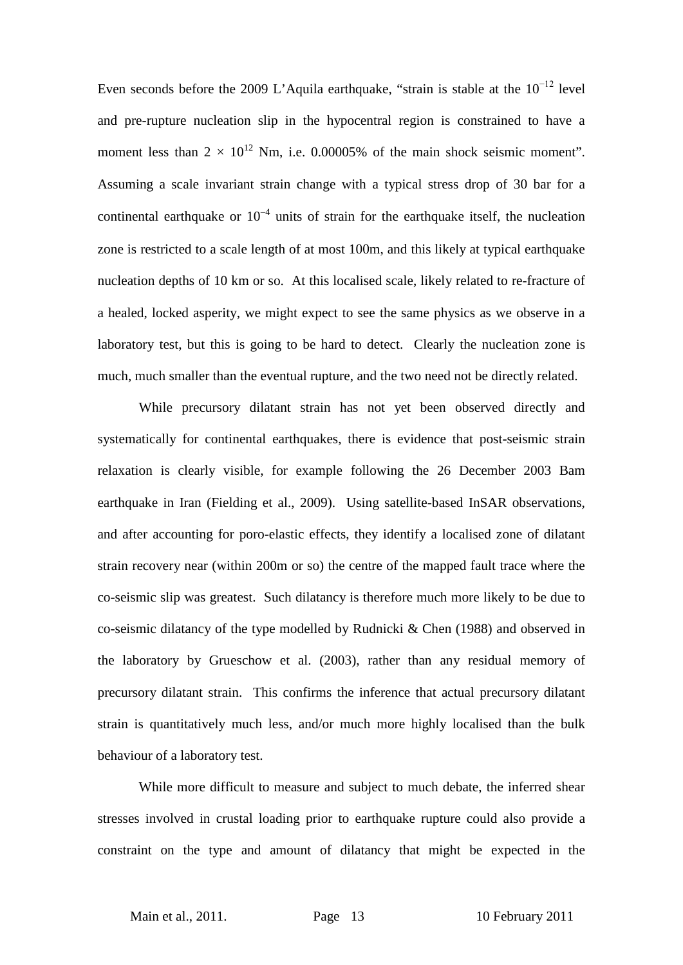Even seconds before the 2009 L'Aquila earthquake, "strain is stable at the  $10^{-12}$  level and pre-rupture nucleation slip in the hypocentral region is constrained to have a moment less than  $2 \times 10^{12}$  Nm, i.e. 0.00005% of the main shock seismic moment". Assuming a scale invariant strain change with a typical stress drop of 30 bar for a continental earthquake or  $10^{-4}$  units of strain for the earthquake itself, the nucleation zone is restricted to a scale length of at most 100m, and this likely at typical earthquake nucleation depths of 10 km or so. At this localised scale, likely related to re-fracture of a healed, locked asperity, we might expect to see the same physics as we observe in a laboratory test, but this is going to be hard to detect. Clearly the nucleation zone is much, much smaller than the eventual rupture, and the two need not be directly related.

While precursory dilatant strain has not yet been observed directly and systematically for continental earthquakes, there is evidence that post-seismic strain relaxation is clearly visible, for example following the 26 December 2003 Bam earthquake in Iran (Fielding et al., 2009). Using satellite-based InSAR observations, and after accounting for poro-elastic effects, they identify a localised zone of dilatant strain recovery near (within 200m or so) the centre of the mapped fault trace where the co-seismic slip was greatest. Such dilatancy is therefore much more likely to be due to co-seismic dilatancy of the type modelled by Rudnicki & Chen (1988) and observed in the laboratory by Grueschow et al. (2003), rather than any residual memory of precursory dilatant strain. This confirms the inference that actual precursory dilatant strain is quantitatively much less, and/or much more highly localised than the bulk behaviour of a laboratory test.

While more difficult to measure and subject to much debate, the inferred shear stresses involved in crustal loading prior to earthquake rupture could also provide a constraint on the type and amount of dilatancy that might be expected in the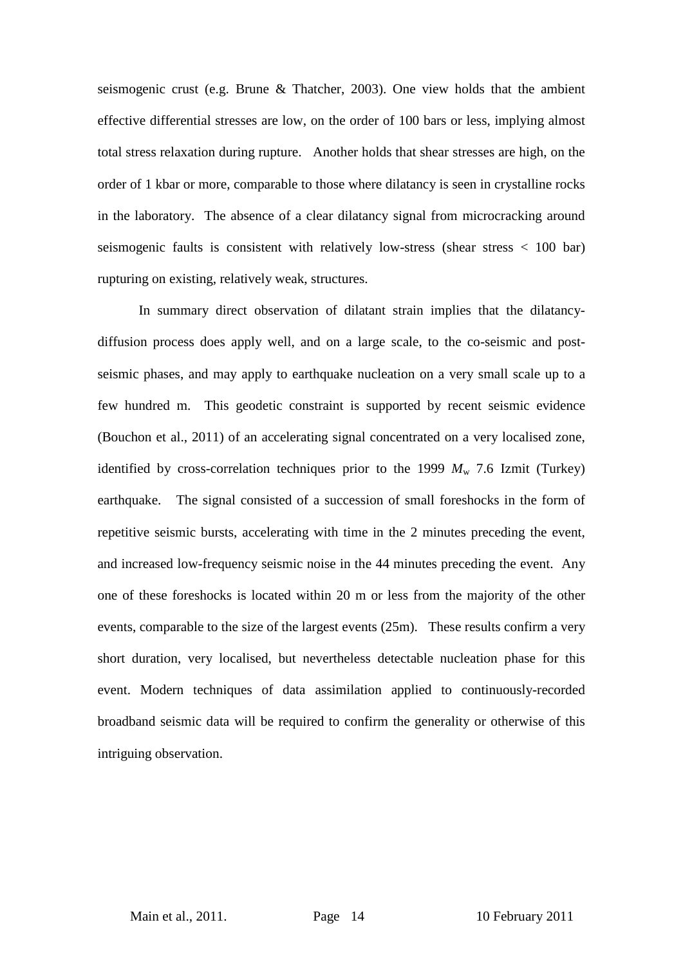seismogenic crust (e.g. Brune & Thatcher, 2003). One view holds that the ambient effective differential stresses are low, on the order of 100 bars or less, implying almost total stress relaxation during rupture. Another holds that shear stresses are high, on the order of 1 kbar or more, comparable to those where dilatancy is seen in crystalline rocks in the laboratory. The absence of a clear dilatancy signal from microcracking around seismogenic faults is consistent with relatively low-stress (shear stress < 100 bar) rupturing on existing, relatively weak, structures.

In summary direct observation of dilatant strain implies that the dilatancydiffusion process does apply well, and on a large scale, to the co-seismic and postseismic phases, and may apply to earthquake nucleation on a very small scale up to a few hundred m. This geodetic constraint is supported by recent seismic evidence (Bouchon et al., 2011) of an accelerating signal concentrated on a very localised zone, identified by cross-correlation techniques prior to the 1999  $M_{\rm w}$  7.6 Izmit (Turkey) earthquake. The signal consisted of a succession of small foreshocks in the form of repetitive seismic bursts, accelerating with time in the 2 minutes preceding the event, and increased low-frequency seismic noise in the 44 minutes preceding the event. Any one of these foreshocks is located within 20 m or less from the majority of the other events, comparable to the size of the largest events (25m). These results confirm a very short duration, very localised, but nevertheless detectable nucleation phase for this event. Modern techniques of data assimilation applied to continuously-recorded broadband seismic data will be required to confirm the generality or otherwise of this intriguing observation.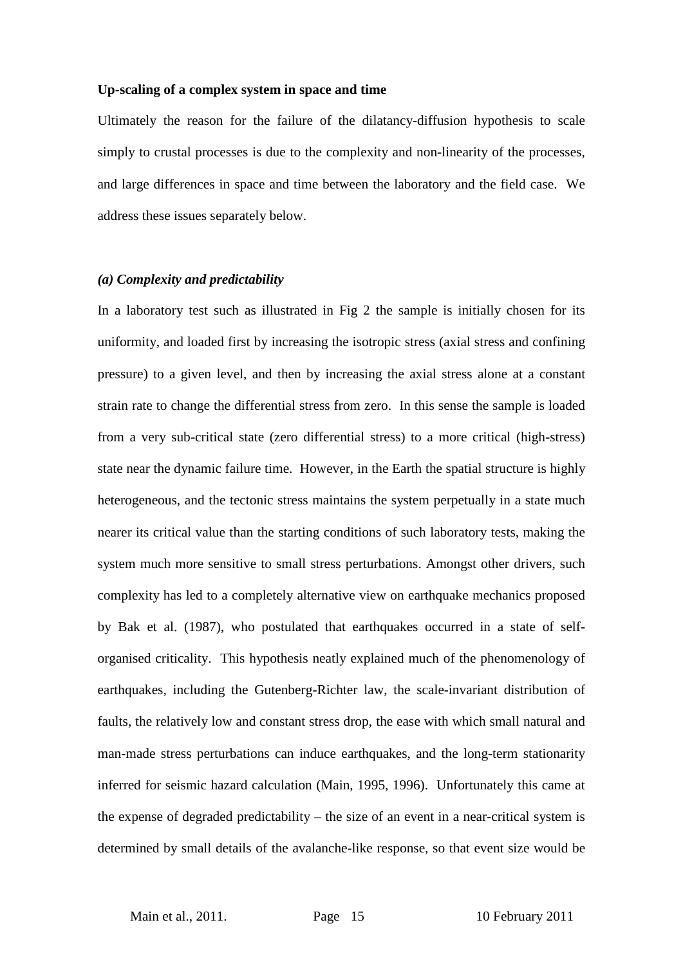#### **Up-scaling of a complex system in space and time**

Ultimately the reason for the failure of the dilatancy-diffusion hypothesis to scale simply to crustal processes is due to the complexity and non-linearity of the processes, and large differences in space and time between the laboratory and the field case. We address these issues separately below.

#### *(a) Complexity and predictability*

In a laboratory test such as illustrated in Fig 2 the sample is initially chosen for its uniformity, and loaded first by increasing the isotropic stress (axial stress and confining pressure) to a given level, and then by increasing the axial stress alone at a constant strain rate to change the differential stress from zero. In this sense the sample is loaded from a very sub-critical state (zero differential stress) to a more critical (high-stress) state near the dynamic failure time. However, in the Earth the spatial structure is highly heterogeneous, and the tectonic stress maintains the system perpetually in a state much nearer its critical value than the starting conditions of such laboratory tests, making the system much more sensitive to small stress perturbations. Amongst other drivers, such complexity has led to a completely alternative view on earthquake mechanics proposed by Bak et al. (1987), who postulated that earthquakes occurred in a state of selforganised criticality. This hypothesis neatly explained much of the phenomenology of earthquakes, including the Gutenberg-Richter law, the scale-invariant distribution of faults, the relatively low and constant stress drop, the ease with which small natural and man-made stress perturbations can induce earthquakes, and the long-term stationarity inferred for seismic hazard calculation (Main, 1995, 1996). Unfortunately this came at the expense of degraded predictability – the size of an event in a near-critical system is determined by small details of the avalanche-like response, so that event size would be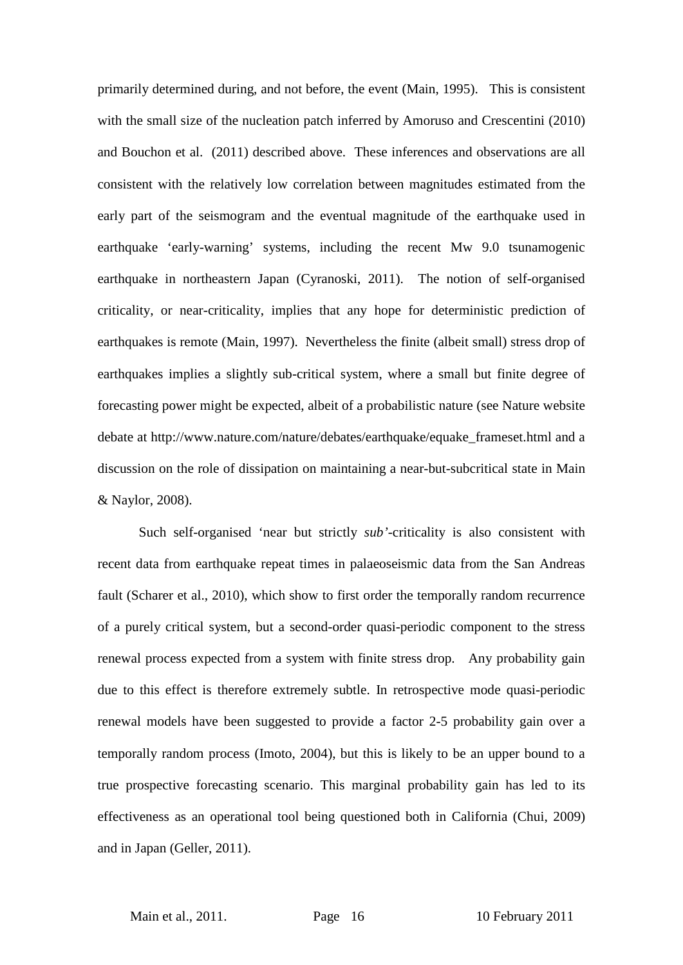primarily determined during, and not before, the event (Main, 1995). This is consistent with the small size of the nucleation patch inferred by Amoruso and Crescentini (2010) and Bouchon et al. (2011) described above. These inferences and observations are all consistent with the relatively low correlation between magnitudes estimated from the early part of the seismogram and the eventual magnitude of the earthquake used in earthquake 'early-warning' systems, including the recent Mw 9.0 tsunamogenic earthquake in northeastern Japan (Cyranoski, 2011). The notion of self-organised criticality, or near-criticality, implies that any hope for deterministic prediction of earthquakes is remote (Main, 1997). Nevertheless the finite (albeit small) stress drop of earthquakes implies a slightly sub-critical system, where a small but finite degree of forecasting power might be expected, albeit of a probabilistic nature (see Nature website debate at http://www.nature.com/nature/debates/earthquake/equake\_frameset.html and a discussion on the role of dissipation on maintaining a near-but-subcritical state in Main & Naylor, 2008).

Such self-organised 'near but strictly *sub'*-criticality is also consistent with recent data from earthquake repeat times in palaeoseismic data from the San Andreas fault (Scharer et al., 2010), which show to first order the temporally random recurrence of a purely critical system, but a second-order quasi-periodic component to the stress renewal process expected from a system with finite stress drop. Any probability gain due to this effect is therefore extremely subtle. In retrospective mode quasi-periodic renewal models have been suggested to provide a factor 2-5 probability gain over a temporally random process (Imoto, 2004), but this is likely to be an upper bound to a true prospective forecasting scenario. This marginal probability gain has led to its effectiveness as an operational tool being questioned both in California (Chui, 2009) and in Japan (Geller, 2011).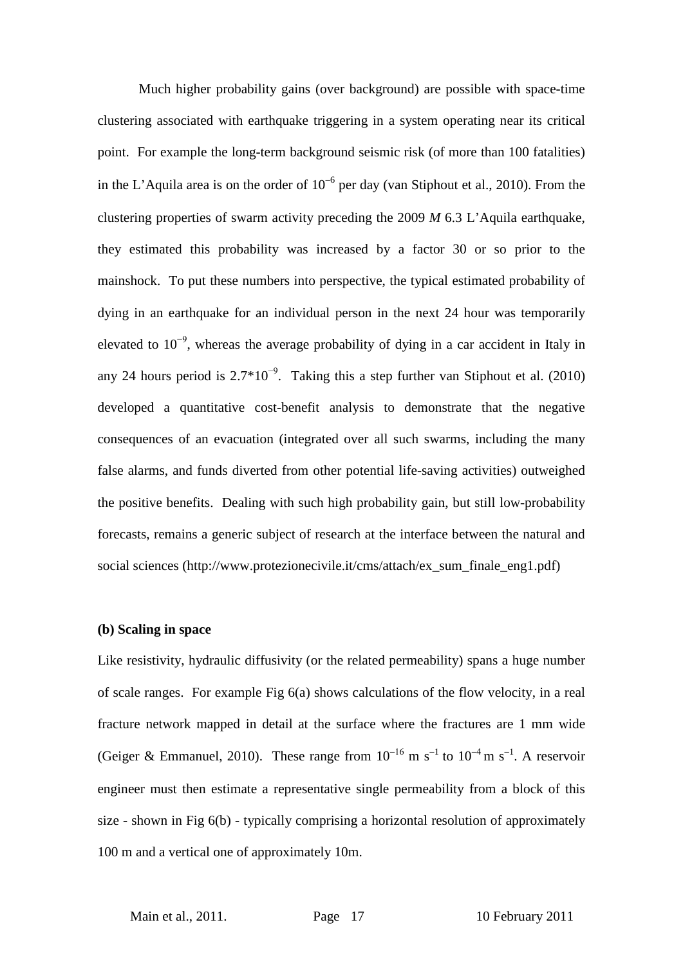Much higher probability gains (over background) are possible with space-time clustering associated with earthquake triggering in a system operating near its critical point. For example the long-term background seismic risk (of more than 100 fatalities) in the L'Aquila area is on the order of  $10^{-6}$  per day (van Stiphout et al., 2010). From the clustering properties of swarm activity preceding the 2009 *M* 6.3 L'Aquila earthquake, they estimated this probability was increased by a factor 30 or so prior to the mainshock. To put these numbers into perspective, the typical estimated probability of dying in an earthquake for an individual person in the next 24 hour was temporarily elevated to  $10^{-9}$ , whereas the average probability of dying in a car accident in Italy in any 24 hours period is  $2.7*10^{-9}$ . Taking this a step further van Stiphout et al. (2010) developed a quantitative cost-benefit analysis to demonstrate that the negative consequences of an evacuation (integrated over all such swarms, including the many false alarms, and funds diverted from other potential life-saving activities) outweighed the positive benefits. Dealing with such high probability gain, but still low-probability forecasts, remains a generic subject of research at the interface between the natural and social sciences (http://www.protezionecivile.it/cms/attach/ex\_sum\_finale\_eng1.pdf)

#### **(b) Scaling in space**

Like resistivity, hydraulic diffusivity (or the related permeability) spans a huge number of scale ranges. For example Fig 6(a) shows calculations of the flow velocity, in a real fracture network mapped in detail at the surface where the fractures are 1 mm wide (Geiger & Emmanuel, 2010). These range from  $10^{-16}$  m s<sup>-1</sup> to  $10^{-4}$  m s<sup>-1</sup>. A reservoir engineer must then estimate a representative single permeability from a block of this size - shown in Fig 6(b) - typically comprising a horizontal resolution of approximately 100 m and a vertical one of approximately 10m.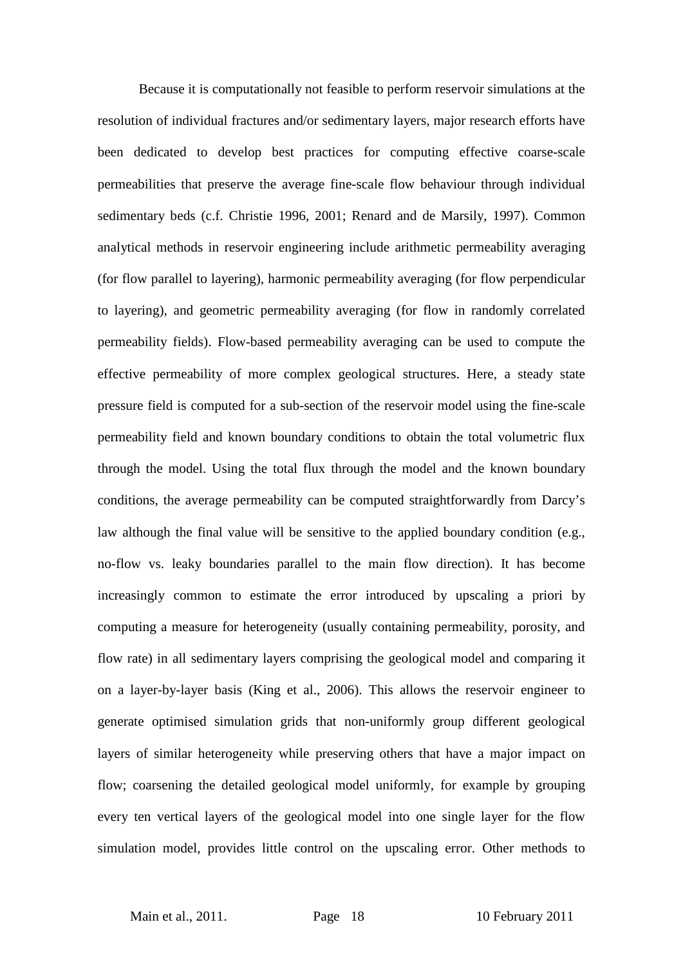Because it is computationally not feasible to perform reservoir simulations at the resolution of individual fractures and/or sedimentary layers, major research efforts have been dedicated to develop best practices for computing effective coarse-scale permeabilities that preserve the average fine-scale flow behaviour through individual sedimentary beds (c.f. Christie 1996, 2001; Renard and de Marsily, 1997). Common analytical methods in reservoir engineering include arithmetic permeability averaging (for flow parallel to layering), harmonic permeability averaging (for flow perpendicular to layering), and geometric permeability averaging (for flow in randomly correlated permeability fields). Flow-based permeability averaging can be used to compute the effective permeability of more complex geological structures. Here, a steady state pressure field is computed for a sub-section of the reservoir model using the fine-scale permeability field and known boundary conditions to obtain the total volumetric flux through the model. Using the total flux through the model and the known boundary conditions, the average permeability can be computed straightforwardly from Darcy's law although the final value will be sensitive to the applied boundary condition (e.g., no-flow vs. leaky boundaries parallel to the main flow direction). It has become increasingly common to estimate the error introduced by upscaling a priori by computing a measure for heterogeneity (usually containing permeability, porosity, and flow rate) in all sedimentary layers comprising the geological model and comparing it on a layer-by-layer basis (King et al., 2006). This allows the reservoir engineer to generate optimised simulation grids that non-uniformly group different geological layers of similar heterogeneity while preserving others that have a major impact on flow; coarsening the detailed geological model uniformly, for example by grouping every ten vertical layers of the geological model into one single layer for the flow simulation model, provides little control on the upscaling error. Other methods to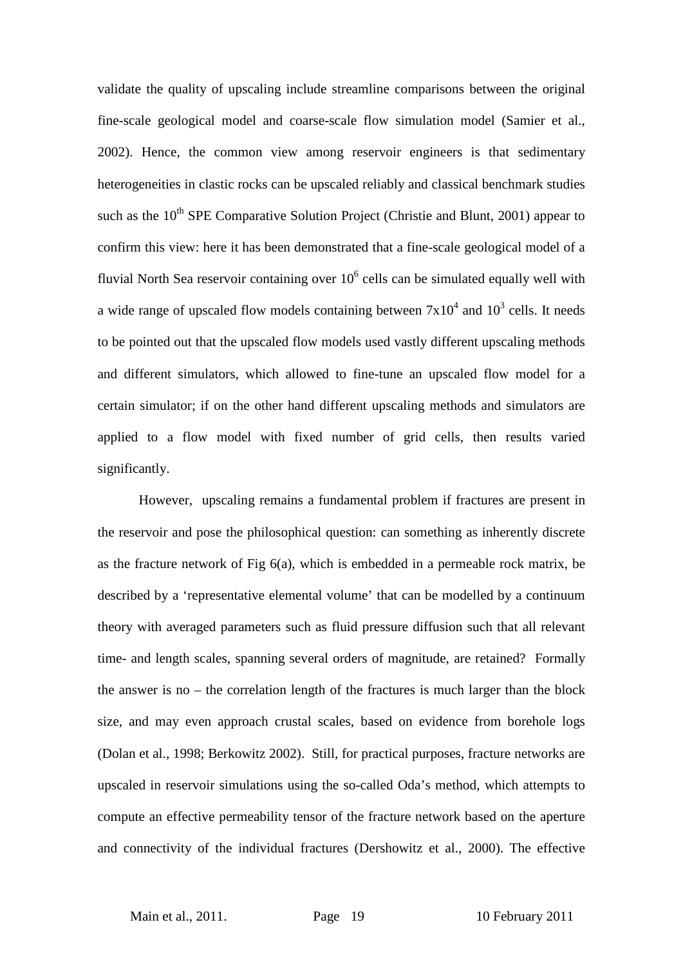validate the quality of upscaling include streamline comparisons between the original fine-scale geological model and coarse-scale flow simulation model (Samier et al., 2002). Hence, the common view among reservoir engineers is that sedimentary heterogeneities in clastic rocks can be upscaled reliably and classical benchmark studies such as the  $10<sup>th</sup>$  SPE Comparative Solution Project (Christie and Blunt, 2001) appear to confirm this view: here it has been demonstrated that a fine-scale geological model of a fluvial North Sea reservoir containing over  $10<sup>6</sup>$  cells can be simulated equally well with a wide range of upscaled flow models containing between  $7x10^4$  and  $10^3$  cells. It needs to be pointed out that the upscaled flow models used vastly different upscaling methods and different simulators, which allowed to fine-tune an upscaled flow model for a certain simulator; if on the other hand different upscaling methods and simulators are applied to a flow model with fixed number of grid cells, then results varied significantly.

However, upscaling remains a fundamental problem if fractures are present in the reservoir and pose the philosophical question: can something as inherently discrete as the fracture network of Fig 6(a), which is embedded in a permeable rock matrix, be described by a 'representative elemental volume' that can be modelled by a continuum theory with averaged parameters such as fluid pressure diffusion such that all relevant time- and length scales, spanning several orders of magnitude, are retained? Formally the answer is no – the correlation length of the fractures is much larger than the block size, and may even approach crustal scales, based on evidence from borehole logs (Dolan et al., 1998; Berkowitz 2002). Still, for practical purposes, fracture networks are upscaled in reservoir simulations using the so-called Oda's method, which attempts to compute an effective permeability tensor of the fracture network based on the aperture and connectivity of the individual fractures (Dershowitz et al., 2000). The effective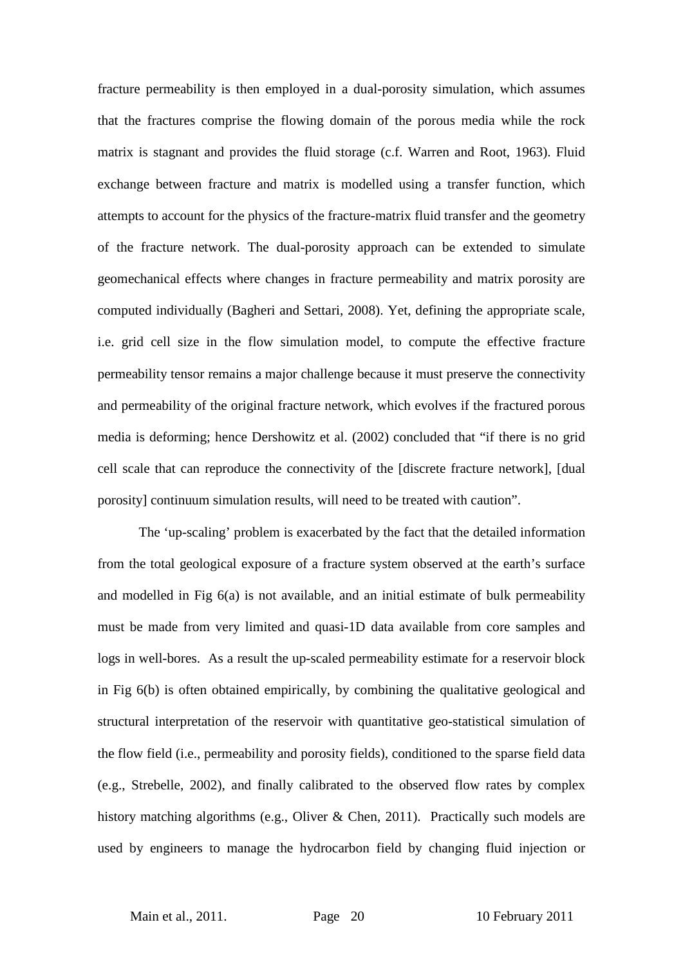fracture permeability is then employed in a dual-porosity simulation, which assumes that the fractures comprise the flowing domain of the porous media while the rock matrix is stagnant and provides the fluid storage (c.f. Warren and Root, 1963). Fluid exchange between fracture and matrix is modelled using a transfer function, which attempts to account for the physics of the fracture-matrix fluid transfer and the geometry of the fracture network. The dual-porosity approach can be extended to simulate geomechanical effects where changes in fracture permeability and matrix porosity are computed individually (Bagheri and Settari, 2008). Yet, defining the appropriate scale, i.e. grid cell size in the flow simulation model, to compute the effective fracture permeability tensor remains a major challenge because it must preserve the connectivity and permeability of the original fracture network, which evolves if the fractured porous media is deforming; hence Dershowitz et al. (2002) concluded that "if there is no grid cell scale that can reproduce the connectivity of the [discrete fracture network], [dual porosity] continuum simulation results, will need to be treated with caution".

The 'up-scaling' problem is exacerbated by the fact that the detailed information from the total geological exposure of a fracture system observed at the earth's surface and modelled in Fig 6(a) is not available, and an initial estimate of bulk permeability must be made from very limited and quasi-1D data available from core samples and logs in well-bores. As a result the up-scaled permeability estimate for a reservoir block in Fig 6(b) is often obtained empirically, by combining the qualitative geological and structural interpretation of the reservoir with quantitative geo-statistical simulation of the flow field (i.e., permeability and porosity fields), conditioned to the sparse field data (e.g., Strebelle, 2002), and finally calibrated to the observed flow rates by complex history matching algorithms (e.g., Oliver & Chen, 2011). Practically such models are used by engineers to manage the hydrocarbon field by changing fluid injection or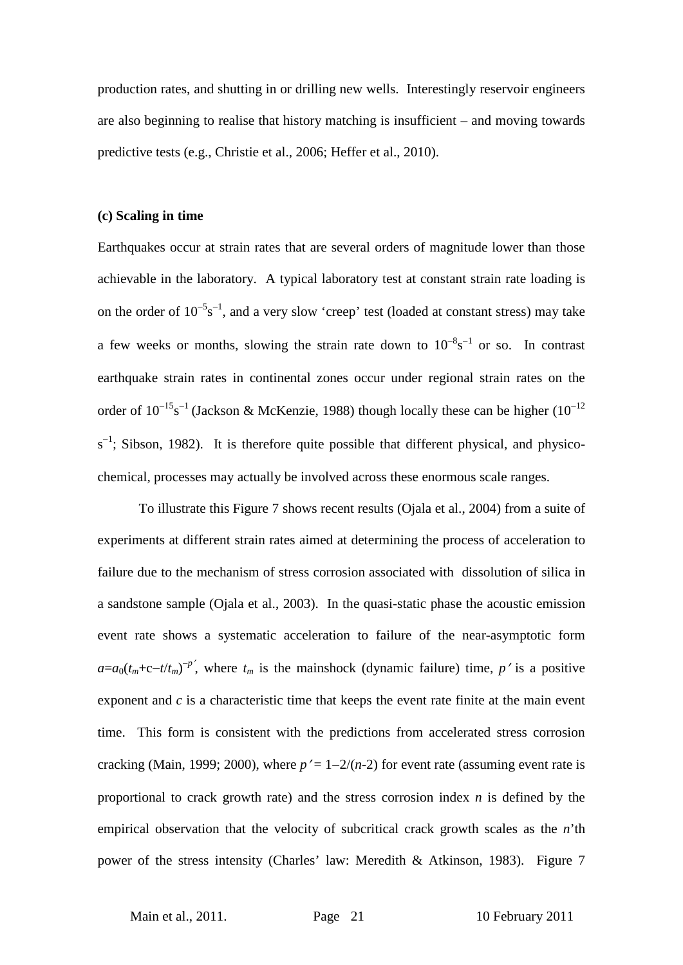production rates, and shutting in or drilling new wells. Interestingly reservoir engineers are also beginning to realise that history matching is insufficient – and moving towards predictive tests (e.g., Christie et al., 2006; Heffer et al., 2010).

#### **(c) Scaling in time**

Earthquakes occur at strain rates that are several orders of magnitude lower than those achievable in the laboratory. A typical laboratory test at constant strain rate loading is on the order of  $10^{-5}$ s<sup>-1</sup>, and a very slow 'creep' test (loaded at constant stress) may take a few weeks or months, slowing the strain rate down to  $10^{-8}s^{-1}$  or so. In contrast earthquake strain rates in continental zones occur under regional strain rates on the order of  $10^{-15}$ s<sup>-1</sup> (Jackson & McKenzie, 1988) though locally these can be higher  $(10^{-12})$  $s^{-1}$ ; Sibson, 1982). It is therefore quite possible that different physical, and physicochemical, processes may actually be involved across these enormous scale ranges.

To illustrate this Figure 7 shows recent results (Ojala et al., 2004) from a suite of experiments at different strain rates aimed at determining the process of acceleration to failure due to the mechanism of stress corrosion associated with dissolution of silica in a sandstone sample (Ojala et al., 2003). In the quasi-static phase the acoustic emission event rate shows a systematic acceleration to failure of the near-asymptotic form  $a=a_0(t_m+c-t/t_m)^{-p}$ , where  $t_m$  is the mainshock (dynamic failure) time, *p*' is a positive exponent and *c* is a characteristic time that keeps the event rate finite at the main event time. This form is consistent with the predictions from accelerated stress corrosion cracking (Main, 1999; 2000), where  $p' = 1 - 2/(n-2)$  for event rate (assuming event rate is proportional to crack growth rate) and the stress corrosion index *n* is defined by the empirical observation that the velocity of subcritical crack growth scales as the *n*'th power of the stress intensity (Charles' law: Meredith & Atkinson, 1983). Figure 7

Main et al., 2011. **Page 21** 10 February 2011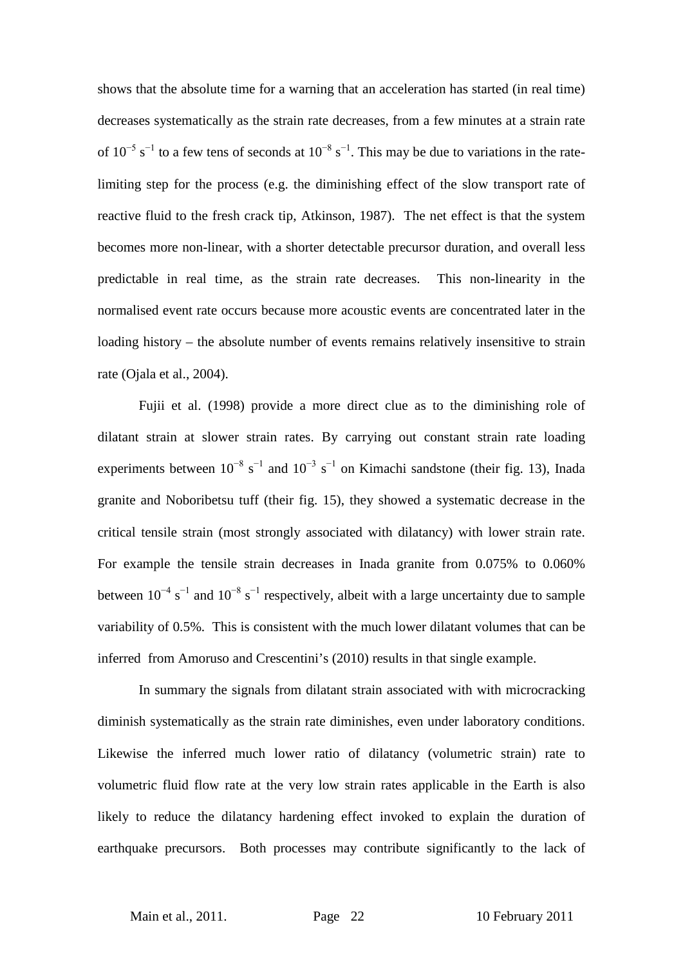shows that the absolute time for a warning that an acceleration has started (in real time) decreases systematically as the strain rate decreases, from a few minutes at a strain rate of  $10^{-5}$  s<sup>-1</sup> to a few tens of seconds at  $10^{-8}$  s<sup>-1</sup>. This may be due to variations in the ratelimiting step for the process (e.g. the diminishing effect of the slow transport rate of reactive fluid to the fresh crack tip, Atkinson, 1987). The net effect is that the system becomes more non-linear, with a shorter detectable precursor duration, and overall less predictable in real time, as the strain rate decreases. This non-linearity in the normalised event rate occurs because more acoustic events are concentrated later in the loading history – the absolute number of events remains relatively insensitive to strain rate (Ojala et al., 2004).

Fujii et al. (1998) provide a more direct clue as to the diminishing role of dilatant strain at slower strain rates. By carrying out constant strain rate loading experiments between  $10^{-8}$  s<sup>-1</sup> and  $10^{-3}$  s<sup>-1</sup> on Kimachi sandstone (their fig. 13), Inada granite and Noboribetsu tuff (their fig. 15), they showed a systematic decrease in the critical tensile strain (most strongly associated with dilatancy) with lower strain rate. For example the tensile strain decreases in Inada granite from 0.075% to 0.060% between  $10^{-4}$  s<sup>-1</sup> and  $10^{-8}$  s<sup>-1</sup> respectively, albeit with a large uncertainty due to sample variability of 0.5%. This is consistent with the much lower dilatant volumes that can be inferred from Amoruso and Crescentini's (2010) results in that single example.

In summary the signals from dilatant strain associated with with microcracking diminish systematically as the strain rate diminishes, even under laboratory conditions. Likewise the inferred much lower ratio of dilatancy (volumetric strain) rate to volumetric fluid flow rate at the very low strain rates applicable in the Earth is also likely to reduce the dilatancy hardening effect invoked to explain the duration of earthquake precursors. Both processes may contribute significantly to the lack of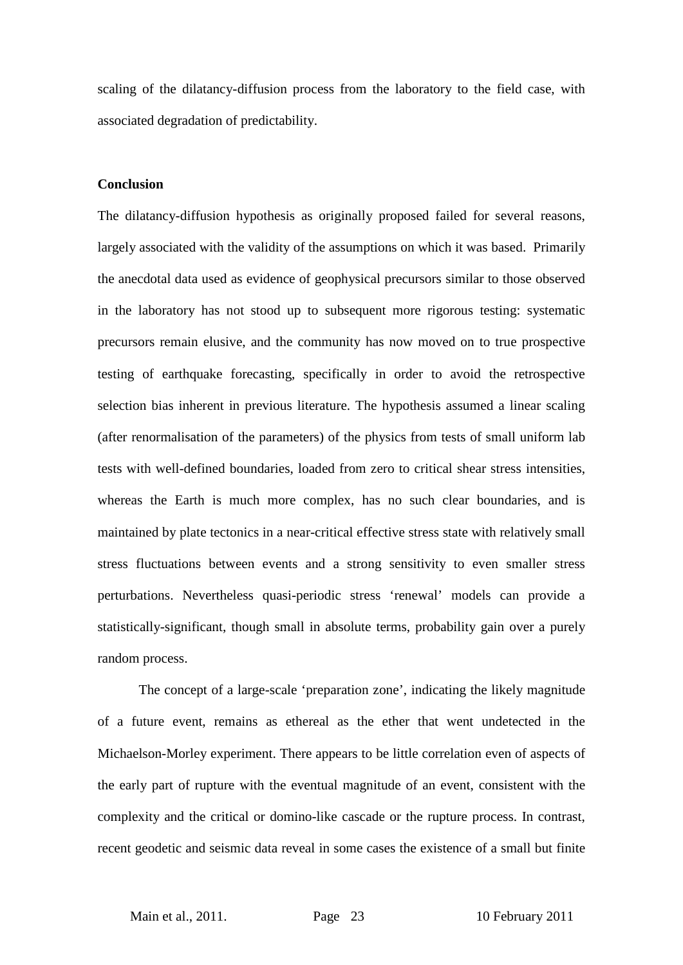scaling of the dilatancy-diffusion process from the laboratory to the field case, with associated degradation of predictability.

#### **Conclusion**

The dilatancy-diffusion hypothesis as originally proposed failed for several reasons, largely associated with the validity of the assumptions on which it was based. Primarily the anecdotal data used as evidence of geophysical precursors similar to those observed in the laboratory has not stood up to subsequent more rigorous testing: systematic precursors remain elusive, and the community has now moved on to true prospective testing of earthquake forecasting, specifically in order to avoid the retrospective selection bias inherent in previous literature. The hypothesis assumed a linear scaling (after renormalisation of the parameters) of the physics from tests of small uniform lab tests with well-defined boundaries, loaded from zero to critical shear stress intensities, whereas the Earth is much more complex, has no such clear boundaries, and is maintained by plate tectonics in a near-critical effective stress state with relatively small stress fluctuations between events and a strong sensitivity to even smaller stress perturbations. Nevertheless quasi-periodic stress 'renewal' models can provide a statistically-significant, though small in absolute terms, probability gain over a purely random process.

The concept of a large-scale 'preparation zone', indicating the likely magnitude of a future event, remains as ethereal as the ether that went undetected in the Michaelson-Morley experiment. There appears to be little correlation even of aspects of the early part of rupture with the eventual magnitude of an event, consistent with the complexity and the critical or domino-like cascade or the rupture process. In contrast, recent geodetic and seismic data reveal in some cases the existence of a small but finite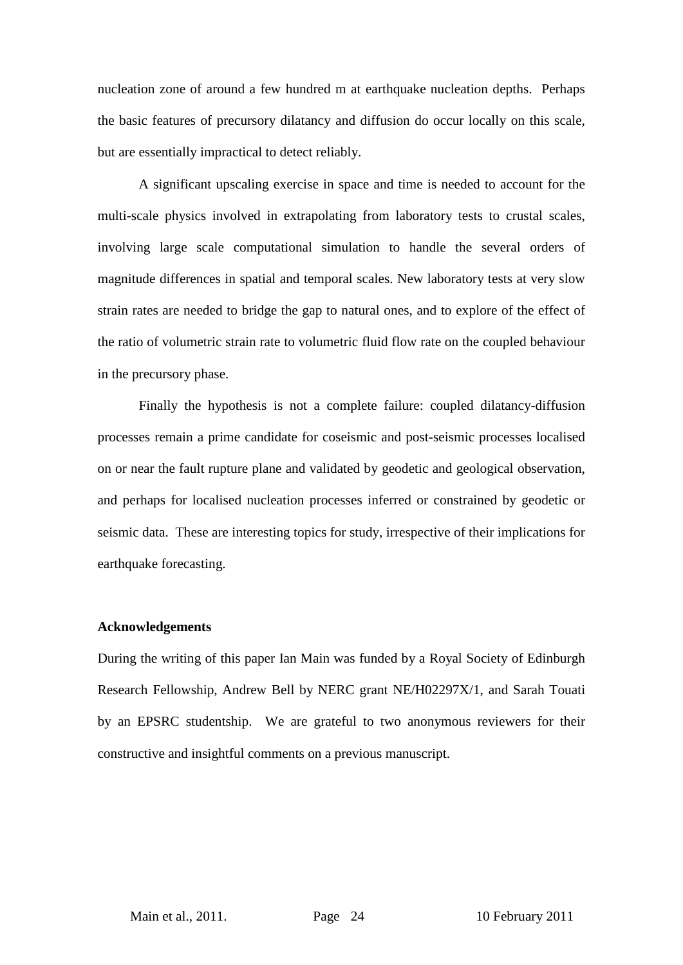nucleation zone of around a few hundred m at earthquake nucleation depths. Perhaps the basic features of precursory dilatancy and diffusion do occur locally on this scale, but are essentially impractical to detect reliably.

A significant upscaling exercise in space and time is needed to account for the multi-scale physics involved in extrapolating from laboratory tests to crustal scales, involving large scale computational simulation to handle the several orders of magnitude differences in spatial and temporal scales. New laboratory tests at very slow strain rates are needed to bridge the gap to natural ones, and to explore of the effect of the ratio of volumetric strain rate to volumetric fluid flow rate on the coupled behaviour in the precursory phase.

Finally the hypothesis is not a complete failure: coupled dilatancy-diffusion processes remain a prime candidate for coseismic and post-seismic processes localised on or near the fault rupture plane and validated by geodetic and geological observation, and perhaps for localised nucleation processes inferred or constrained by geodetic or seismic data. These are interesting topics for study, irrespective of their implications for earthquake forecasting.

#### **Acknowledgements**

During the writing of this paper Ian Main was funded by a Royal Society of Edinburgh Research Fellowship, Andrew Bell by NERC grant NE/H02297X/1, and Sarah Touati by an EPSRC studentship. We are grateful to two anonymous reviewers for their constructive and insightful comments on a previous manuscript.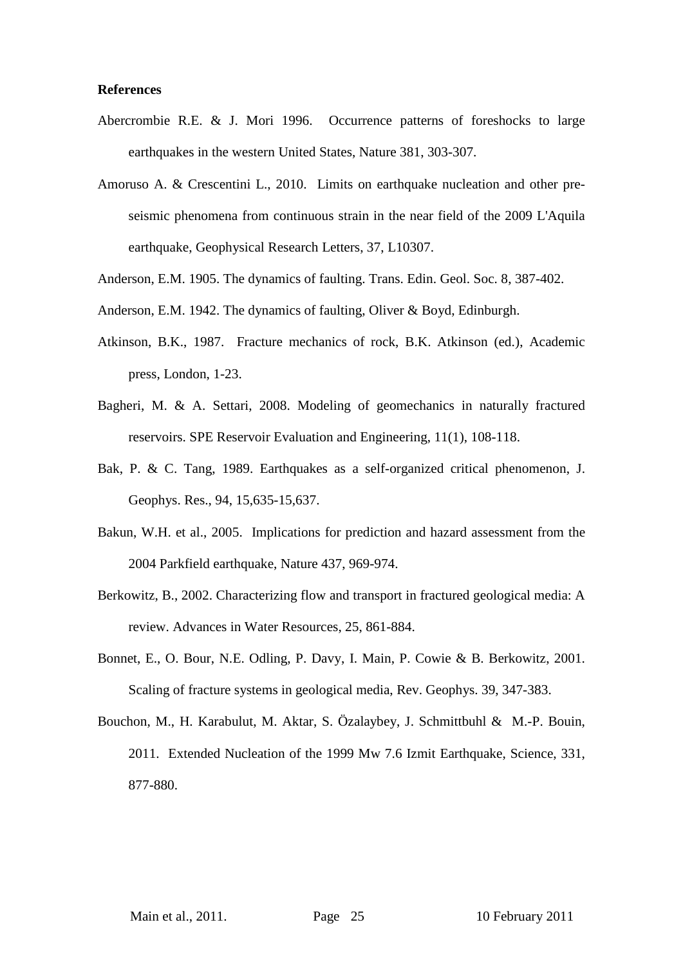#### **References**

- Abercrombie R.E. & J. Mori 1996. Occurrence patterns of foreshocks to large earthquakes in the western United States, Nature 381, 303-307.
- Amoruso A. & Crescentini L., 2010. Limits on earthquake nucleation and other preseismic phenomena from continuous strain in the near field of the 2009 L'Aquila earthquake, Geophysical Research Letters, 37, L10307.
- Anderson, E.M. 1905. The dynamics of faulting. Trans. Edin. Geol. Soc. 8, 387-402.
- Anderson, E.M. 1942. The dynamics of faulting, Oliver & Boyd, Edinburgh.
- Atkinson, B.K., 1987. Fracture mechanics of rock, B.K. Atkinson (ed.), Academic press, London, 1-23.
- Bagheri, M. & A. Settari, 2008. Modeling of geomechanics in naturally fractured reservoirs. SPE Reservoir Evaluation and Engineering, 11(1), 108-118.
- Bak, P. & C. Tang, 1989. Earthquakes as a self-organized critical phenomenon, J. Geophys. Res., 94, 15,635-15,637.
- Bakun, W.H. et al., 2005. Implications for prediction and hazard assessment from the 2004 Parkfield earthquake, Nature 437, 969-974.
- Berkowitz, B., 2002. Characterizing flow and transport in fractured geological media: A review. Advances in Water Resources, 25, 861-884.
- Bonnet, E., O. Bour, N.E. Odling, P. Davy, I. Main, P. Cowie & B. Berkowitz, 2001. Scaling of fracture systems in geological media, Rev. Geophys. 39, 347-383.
- Bouchon, M., H. Karabulut, M. Aktar, S. Özalaybey, J. Schmittbuhl & M.-P. Bouin, 2011. Extended Nucleation of the 1999 Mw 7.6 Izmit Earthquake, Science, 331, 877-880.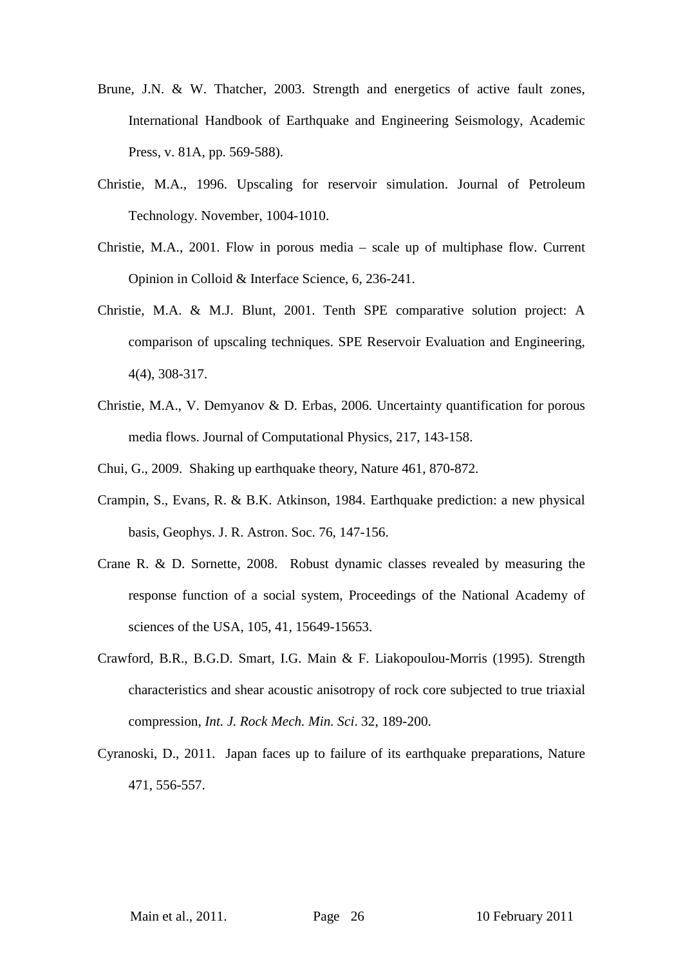- Brune, J.N. & W. Thatcher, 2003. Strength and energetics of active fault zones, International Handbook of Earthquake and Engineering Seismology, Academic Press, v. 81A, pp. 569-588).
- Christie, M.A., 1996. Upscaling for reservoir simulation. Journal of Petroleum Technology. November, 1004-1010.
- Christie, M.A., 2001. Flow in porous media scale up of multiphase flow. Current Opinion in Colloid & Interface Science, 6, 236-241.
- Christie, M.A. & M.J. Blunt, 2001. Tenth SPE comparative solution project: A comparison of upscaling techniques. SPE Reservoir Evaluation and Engineering, 4(4), 308-317.
- Christie, M.A., V. Demyanov & D. Erbas, 2006. Uncertainty quantification for porous media flows. Journal of Computational Physics, 217, 143-158.
- Chui, G., 2009. Shaking up earthquake theory, Nature 461, 870-872.
- Crampin, S., Evans, R. & B.K. Atkinson, 1984. Earthquake prediction: a new physical basis, Geophys. J. R. Astron. Soc. 76, 147-156.
- Crane R. & D. Sornette, 2008. Robust dynamic classes revealed by measuring the response function of a social system, Proceedings of the National Academy of sciences of the USA, 105, 41, 15649-15653.
- Crawford, B.R., B.G.D. Smart, I.G. Main & F. Liakopoulou-Morris (1995). Strength characteristics and shear acoustic anisotropy of rock core subjected to true triaxial compression, *Int. J. Rock Mech. Min. Sci*. 32, 189-200.
- Cyranoski, D., 2011. Japan faces up to failure of its earthquake preparations, Nature 471, 556-557.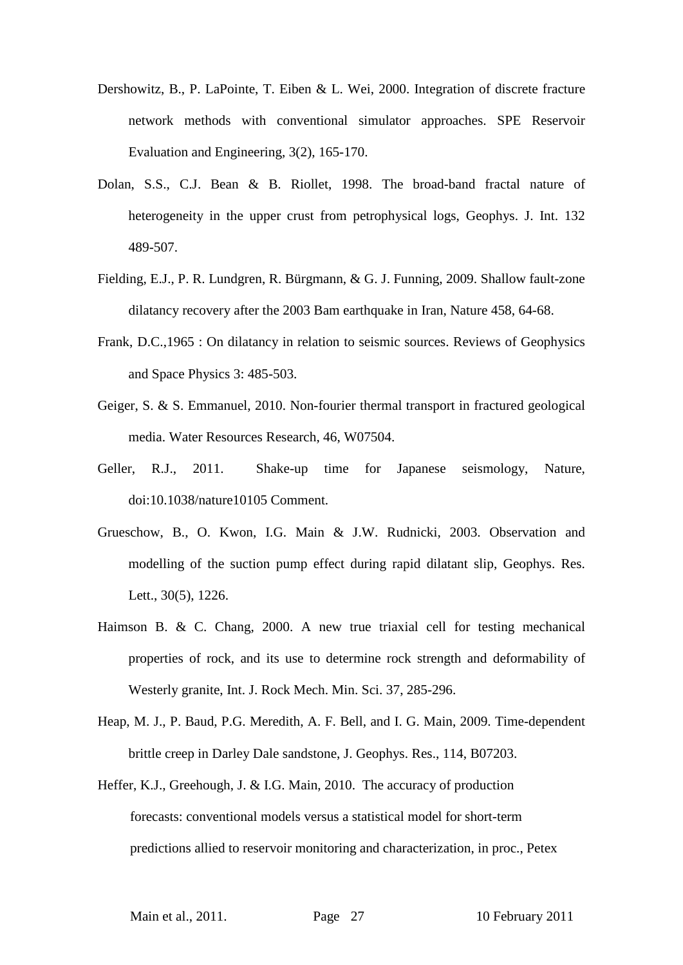- Dershowitz, B., P. LaPointe, T. Eiben & L. Wei, 2000. Integration of discrete fracture network methods with conventional simulator approaches. SPE Reservoir Evaluation and Engineering, 3(2), 165-170.
- Dolan, S.S., C.J. Bean & B. Riollet, 1998. The broad-band fractal nature of heterogeneity in the upper crust from petrophysical logs, Geophys. J. Int. 132 489-507.
- Fielding, E.J., P. R. Lundgren, R. Bürgmann, & G. J. Funning, 2009. Shallow fault-zone dilatancy recovery after the 2003 Bam earthquake in Iran, Nature 458, 64-68.
- Frank, D.C.,1965 : On dilatancy in relation to seismic sources. Reviews of Geophysics and Space Physics 3: 485-503.
- Geiger, S. & S. Emmanuel, 2010. Non-fourier thermal transport in fractured geological media. Water Resources Research, 46, W07504.
- Geller, R.J., 2011. Shake-up time for Japanese seismology, Nature, doi:10.1038/nature10105 Comment.
- Grueschow, B., O. Kwon, I.G. Main & J.W. Rudnicki, 2003. Observation and modelling of the suction pump effect during rapid dilatant slip, Geophys. Res. Lett., 30(5), 1226.
- Haimson B. & C. Chang, 2000. A new true triaxial cell for testing mechanical properties of rock, and its use to determine rock strength and deformability of Westerly granite, Int. J. Rock Mech. Min. Sci. 37, 285-296.
- Heap, M. J., P. Baud, P.G. Meredith, A. F. Bell, and I. G. Main, 2009. Time-dependent brittle creep in Darley Dale sandstone, J. Geophys. Res., 114, B07203.
- Heffer, K.J., Greehough, J. & I.G. Main, 2010. The accuracy of production forecasts: conventional models versus a statistical model for short-term predictions allied to reservoir monitoring and characterization, in proc., Petex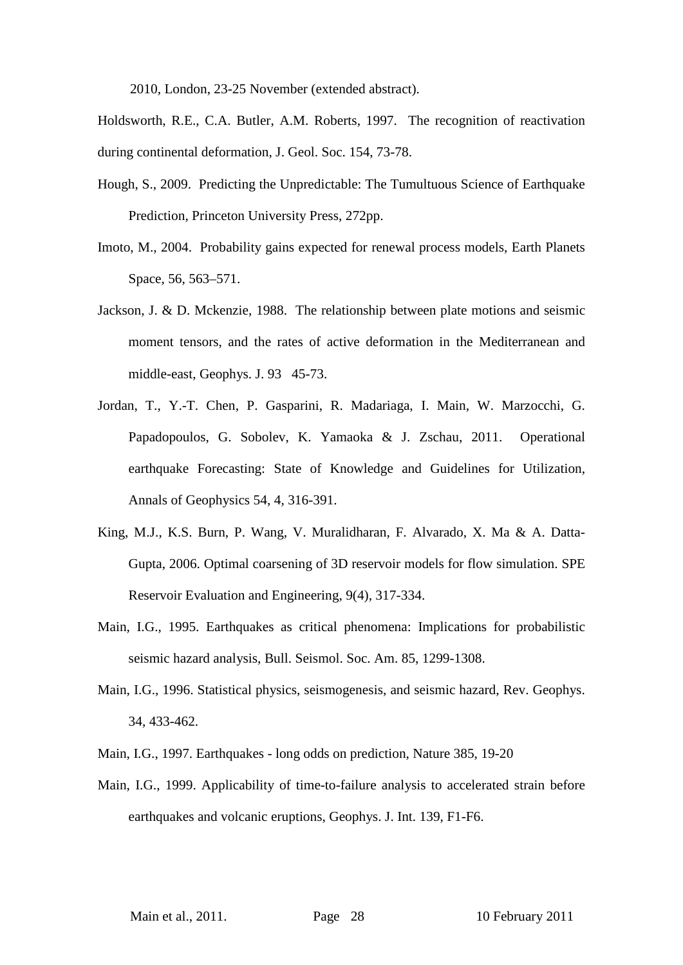2010, London, 23-25 November (extended abstract).

- Holdsworth, R.E., C.A. Butler, A.M. Roberts, 1997. The recognition of reactivation during continental deformation, J. Geol. Soc. 154, 73-78.
- Hough, S., 2009. Predicting the Unpredictable: The Tumultuous Science of Earthquake Prediction, Princeton University Press, 272pp.
- Imoto, M., 2004. Probability gains expected for renewal process models, Earth Planets Space, 56, 563–571.
- Jackson, J. & D. Mckenzie, 1988. The relationship between plate motions and seismic moment tensors, and the rates of active deformation in the Mediterranean and middle-east, Geophys. J. 93 45-73.
- Jordan, T., Y.-T. Chen, P. Gasparini, R. Madariaga, I. Main, W. Marzocchi, G. Papadopoulos, G. Sobolev, K. Yamaoka & J. Zschau, 2011. Operational earthquake Forecasting: State of Knowledge and Guidelines for Utilization, Annals of Geophysics 54, 4, 316-391.
- King, M.J., K.S. Burn, P. Wang, V. Muralidharan, F. Alvarado, X. Ma & A. Datta-Gupta, 2006. Optimal coarsening of 3D reservoir models for flow simulation. SPE Reservoir Evaluation and Engineering, 9(4), 317-334.
- Main, I.G., 1995. Earthquakes as critical phenomena: Implications for probabilistic seismic hazard analysis, Bull. Seismol. Soc. Am. 85, 1299-1308.
- Main, I.G., 1996. Statistical physics, seismogenesis, and seismic hazard, Rev. Geophys. 34, 433-462.
- Main, I.G., 1997. Earthquakes long odds on prediction, Nature 385, 19-20
- Main, I.G., 1999. Applicability of time-to-failure analysis to accelerated strain before earthquakes and volcanic eruptions, Geophys. J. Int. 139, F1-F6.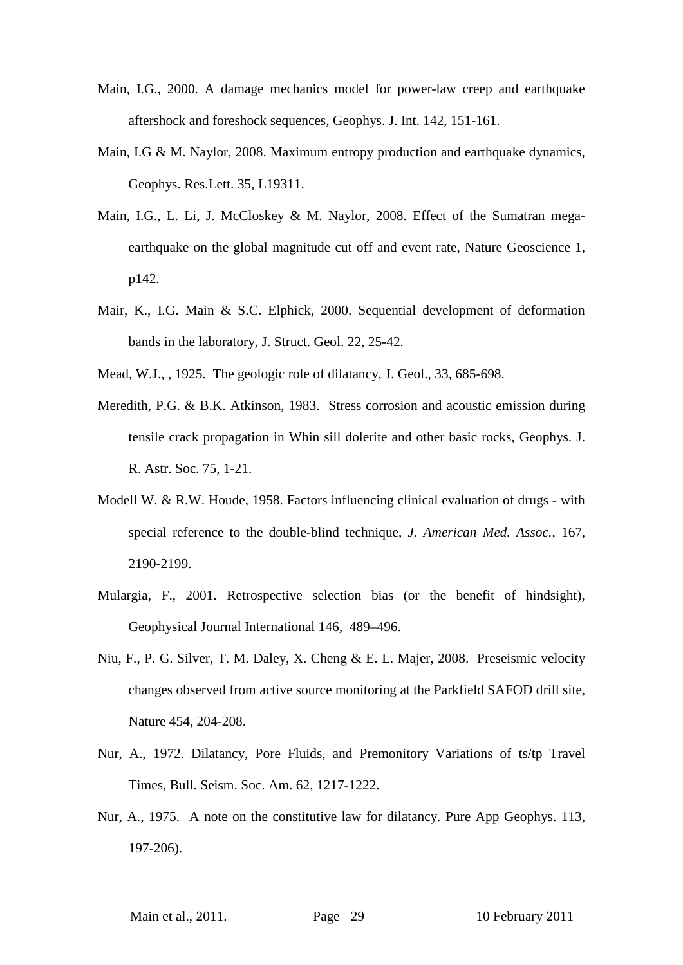- Main, I.G., 2000. A damage mechanics model for power-law creep and earthquake aftershock and foreshock sequences, Geophys. J. Int. 142, 151-161.
- Main, I.G & M. Naylor, 2008. Maximum entropy production and earthquake dynamics, Geophys. Res.Lett. 35, L19311.
- Main, I.G., L. Li, J. McCloskey & M. Naylor, 2008. Effect of the Sumatran megaearthquake on the global magnitude cut off and event rate, Nature Geoscience 1, p142.
- Mair, K., I.G. Main & S.C. Elphick, 2000. Sequential development of deformation bands in the laboratory, J. Struct. Geol. 22, 25-42.
- Mead, W.J., , 1925. The geologic role of dilatancy, J. Geol., 33, 685-698.
- Meredith, P.G. & B.K. Atkinson, 1983. Stress corrosion and acoustic emission during tensile crack propagation in Whin sill dolerite and other basic rocks, Geophys. J. R. Astr. Soc. 75, 1-21.
- Modell W. & R.W. Houde, 1958. Factors influencing clinical evaluation of drugs with special reference to the double-blind technique, *J. American Med. Assoc.*, 167, 2190-2199.
- Mulargia, F., 2001. Retrospective selection bias (or the benefit of hindsight), Geophysical Journal International 146, 489–496.
- Niu, F., P. G. Silver, T. M. Daley, X. Cheng & E. L. Majer, 2008. Preseismic velocity changes observed from active source monitoring at the Parkfield SAFOD drill site, Nature 454, 204-208.
- Nur, A., 1972. Dilatancy, Pore Fluids, and Premonitory Variations of ts/tp Travel Times, Bull. Seism. Soc. Am. 62, 1217-1222.
- Nur, A., 1975. A note on the constitutive law for dilatancy. Pure App Geophys. 113, 197-206).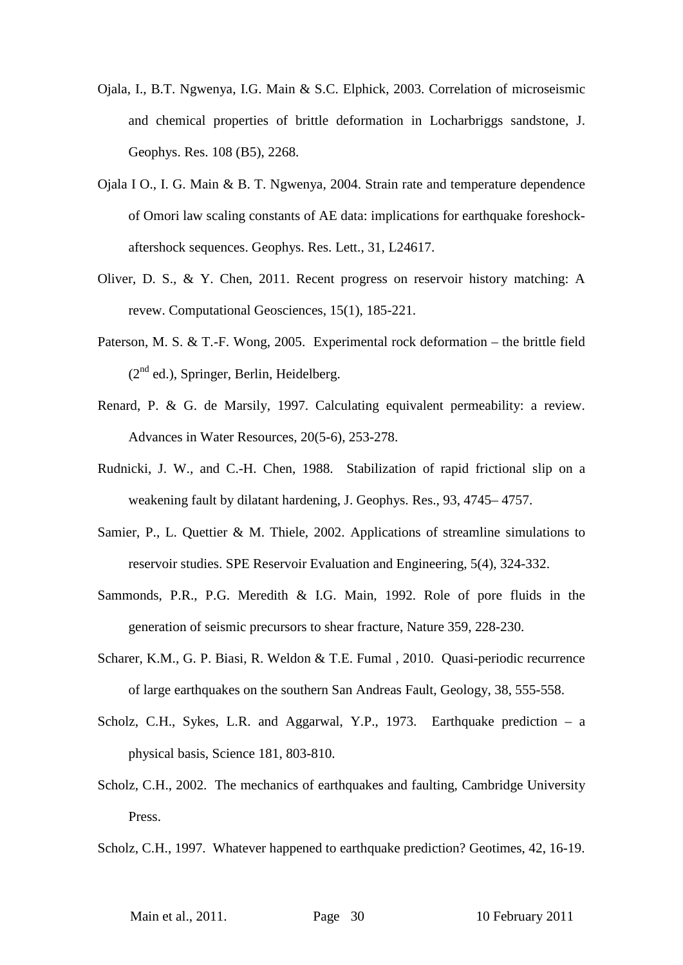- Ojala, I., B.T. Ngwenya, I.G. Main & S.C. Elphick, 2003. Correlation of microseismic and chemical properties of brittle deformation in Locharbriggs sandstone, J. Geophys. Res. 108 (B5), 2268.
- Ojala I O., I. G. Main & B. T. Ngwenya, 2004. Strain rate and temperature dependence of Omori law scaling constants of AE data: implications for earthquake foreshockaftershock sequences. Geophys. Res. Lett., 31, L24617.
- Oliver, D. S., & Y. Chen, 2011. Recent progress on reservoir history matching: A revew. Computational Geosciences, 15(1), 185-221.
- Paterson, M. S. & T.-F. Wong, 2005. Experimental rock deformation the brittle field  $(2<sup>nd</sup>$  ed.), Springer, Berlin, Heidelberg.
- Renard, P. & G. de Marsily, 1997. Calculating equivalent permeability: a review. Advances in Water Resources, 20(5-6), 253-278.
- Rudnicki, J. W., and C.-H. Chen, 1988. Stabilization of rapid frictional slip on a weakening fault by dilatant hardening, J. Geophys. Res., 93, 4745– 4757.
- Samier, P., L. Quettier & M. Thiele, 2002. Applications of streamline simulations to reservoir studies. SPE Reservoir Evaluation and Engineering, 5(4), 324-332.
- Sammonds, P.R., P.G. Meredith & I.G. Main, 1992. Role of pore fluids in the generation of seismic precursors to shear fracture, Nature 359, 228-230.
- Scharer, K.M., G. P. Biasi, R. Weldon & T.E. Fumal , 2010. Quasi-periodic recurrence of large earthquakes on the southern San Andreas Fault, Geology, 38, 555-558.
- Scholz, C.H., Sykes, L.R. and Aggarwal, Y.P., 1973. Earthquake prediction a physical basis, Science 181, 803-810.
- Scholz, C.H., 2002. The mechanics of earthquakes and faulting, Cambridge University Press.

Scholz, C.H., 1997. Whatever happened to earthquake prediction? Geotimes, 42, 16-19.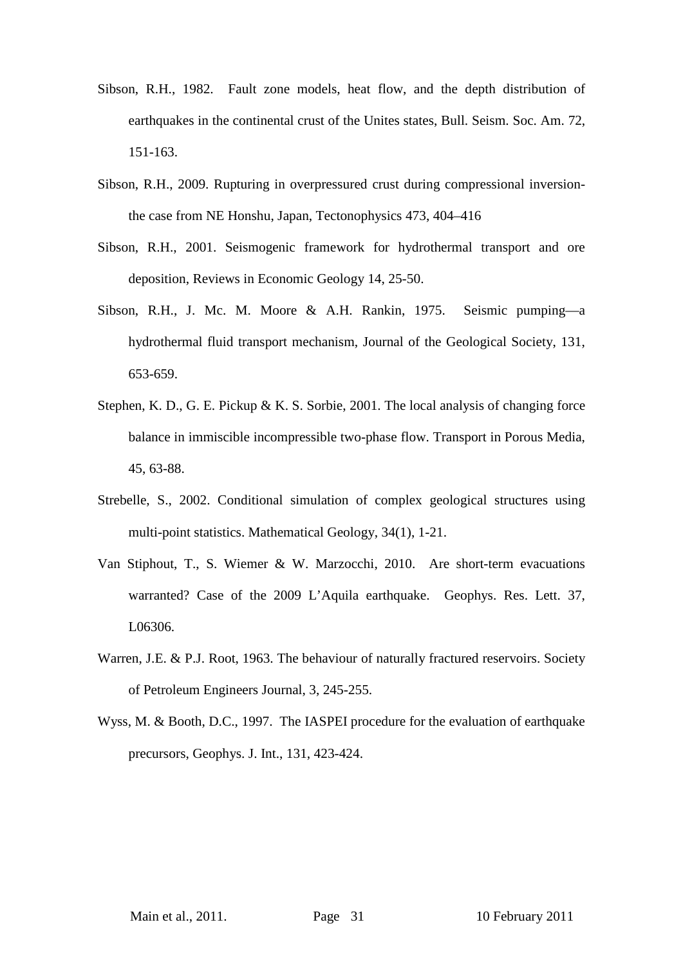- Sibson, R.H., 1982. Fault zone models, heat flow, and the depth distribution of earthquakes in the continental crust of the Unites states, Bull. Seism. Soc. Am. 72, 151-163.
- Sibson, R.H., 2009. Rupturing in overpressured crust during compressional inversionthe case from NE Honshu, Japan, Tectonophysics 473, 404–416
- Sibson, R.H., 2001. Seismogenic framework for hydrothermal transport and ore deposition, Reviews in Economic Geology 14, 25-50.
- Sibson, R.H., J. Mc. M. Moore & A.H. Rankin, 1975. Seismic pumping—a hydrothermal fluid transport mechanism, Journal of the Geological Society, 131, 653-659.
- Stephen, K. D., G. E. Pickup & K. S. Sorbie, 2001. The local analysis of changing force balance in immiscible incompressible two-phase flow. Transport in Porous Media, 45, 63-88.
- Strebelle, S., 2002. Conditional simulation of complex geological structures using multi-point statistics. Mathematical Geology, 34(1), 1-21.
- Van Stiphout, T., S. Wiemer & W. Marzocchi, 2010. Are short-term evacuations warranted? Case of the 2009 L'Aquila earthquake. Geophys. Res. Lett. 37, L06306.
- Warren, J.E. & P.J. Root, 1963. The behaviour of naturally fractured reservoirs. Society of Petroleum Engineers Journal, 3, 245-255.
- Wyss, M. & Booth, D.C., 1997. The IASPEI procedure for the evaluation of earthquake precursors, Geophys. J. Int., 131, 423-424.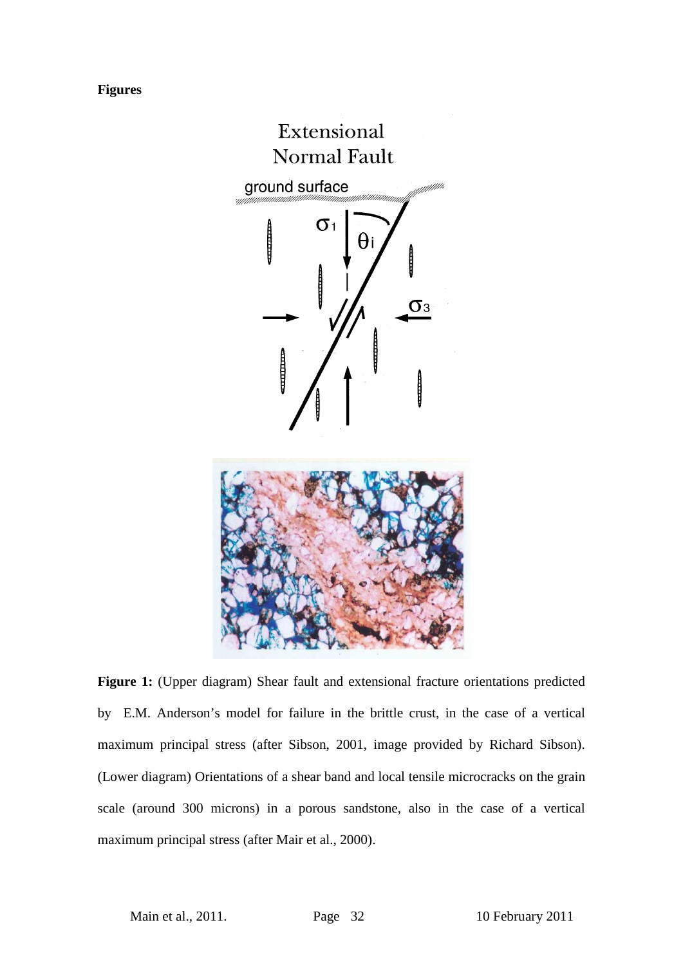#### **Figures**



**Figure 1:** (Upper diagram) Shear fault and extensional fracture orientations predicted by E.M. Anderson's model for failure in the brittle crust, in the case of a vertical maximum principal stress (after Sibson, 2001, image provided by Richard Sibson). (Lower diagram) Orientations of a shear band and local tensile microcracks on the grain scale (around 300 microns) in a porous sandstone, also in the case of a vertical maximum principal stress (after Mair et al., 2000).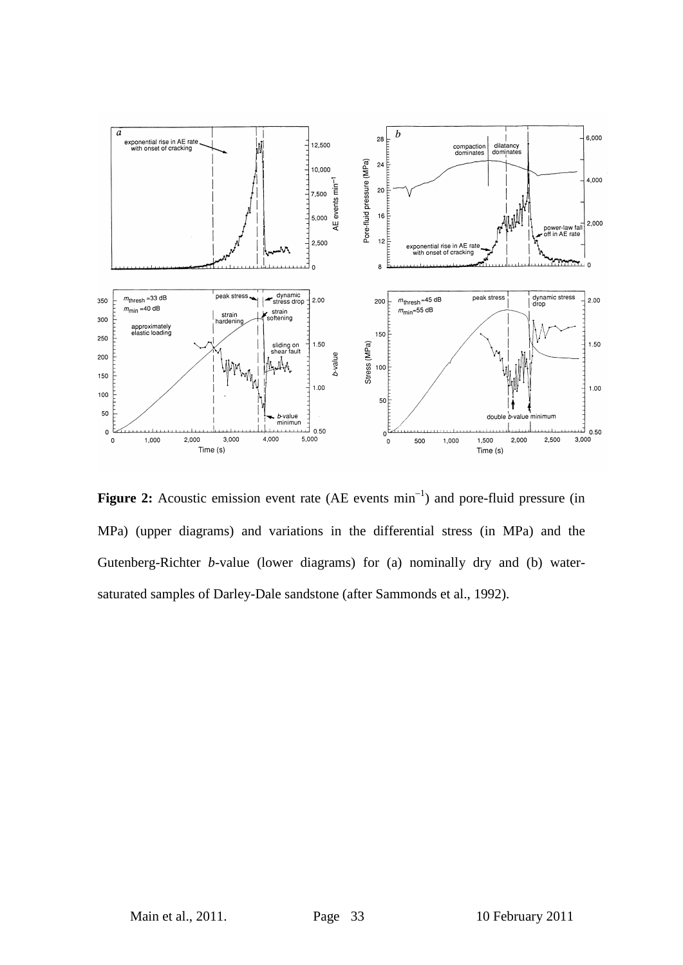

Figure 2: Acoustic emission event rate (AE events min<sup>-1</sup>) and pore-fluid pressure (in MPa) (upper diagrams) and variations in the differential stress (in MPa) and the Gutenberg-Richter *b*-value (lower diagrams) for (a) nominally dry and (b) watersaturated samples of Darley-Dale sandstone (after Sammonds et al., 1992).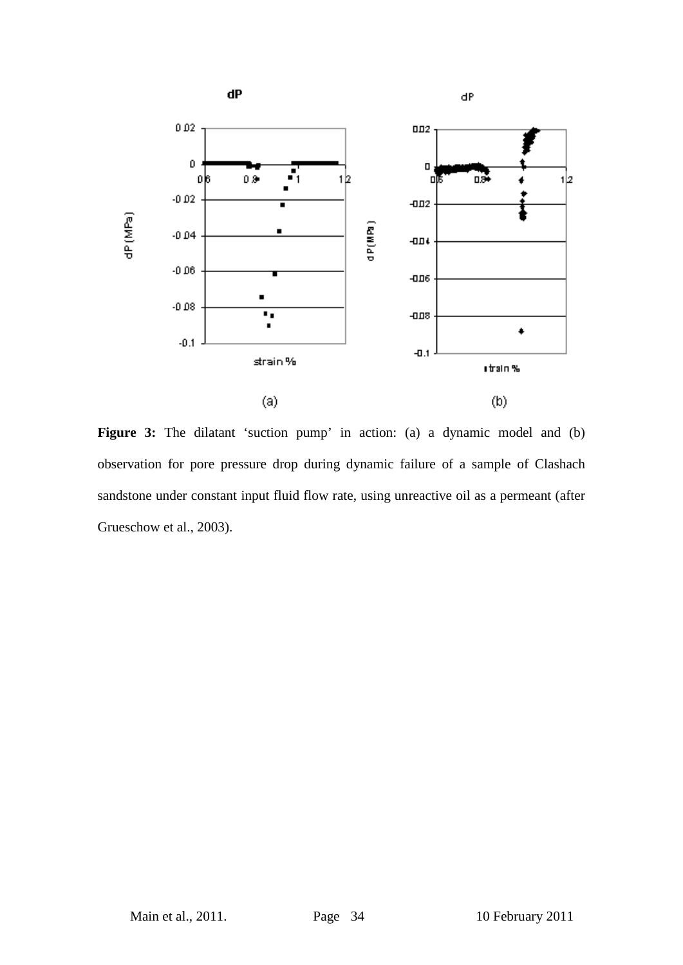

Figure 3: The dilatant 'suction pump' in action: (a) a dynamic model and (b) observation for pore pressure drop during dynamic failure of a sample of Clashach sandstone under constant input fluid flow rate, using unreactive oil as a permeant (after Grueschow et al., 2003).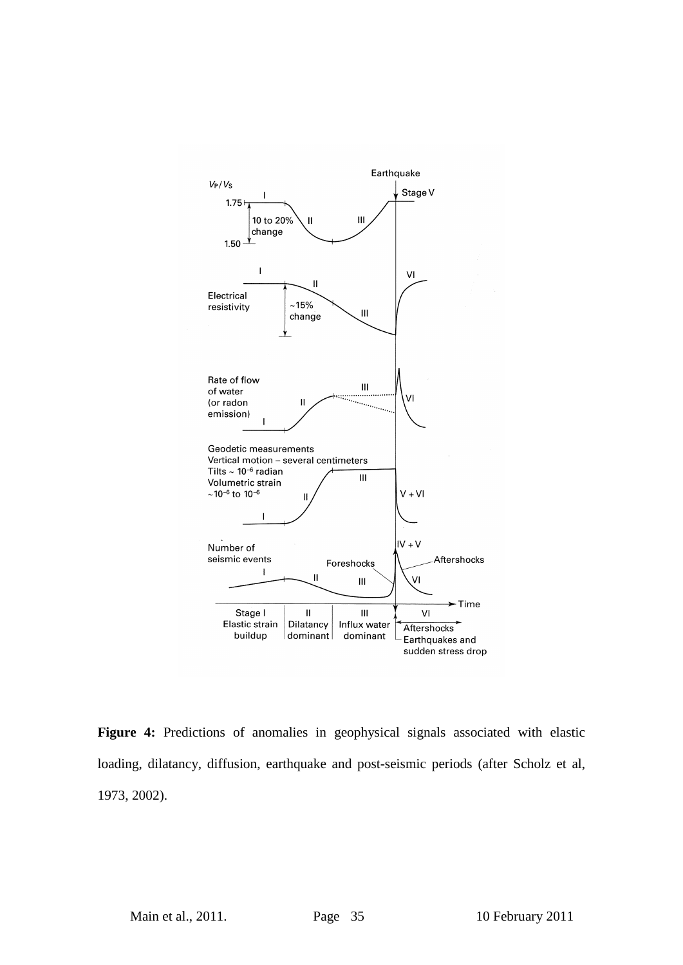

**Figure 4:** Predictions of anomalies in geophysical signals associated with elastic loading, dilatancy, diffusion, earthquake and post-seismic periods (after Scholz et al, 1973, 2002).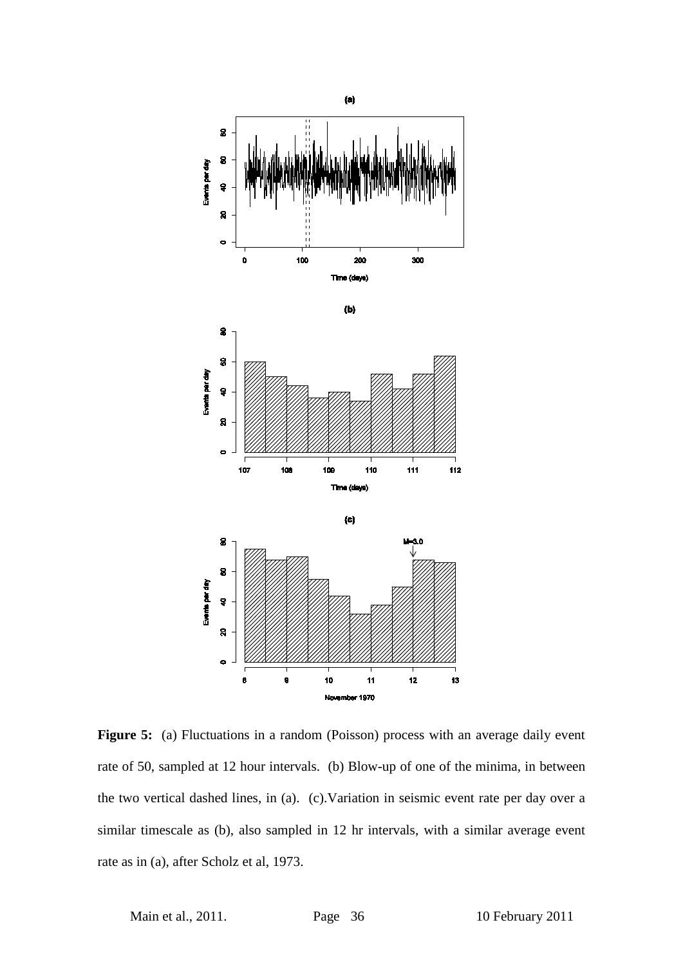

Figure 5: (a) Fluctuations in a random (Poisson) process with an average daily event rate of 50, sampled at 12 hour intervals. (b) Blow-up of one of the minima, in between the two vertical dashed lines, in (a). (c).Variation in seismic event rate per day over a similar timescale as (b), also sampled in 12 hr intervals, with a similar average event rate as in (a), after Scholz et al, 1973.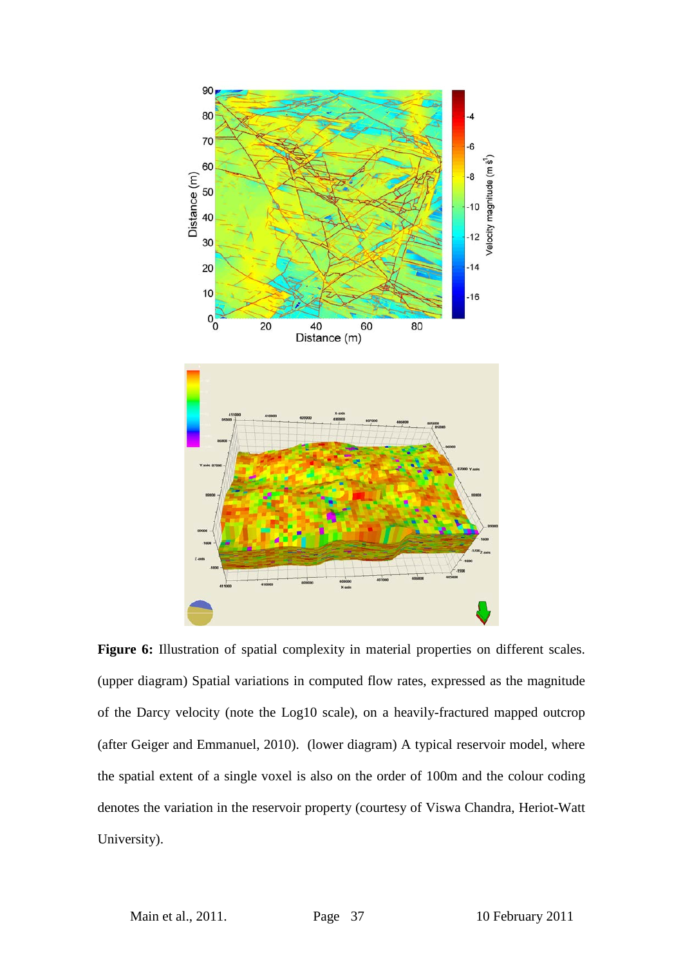

Figure 6: Illustration of spatial complexity in material properties on different scales. (upper diagram) Spatial variations in computed flow rates, expressed as the magnitude of the Darcy velocity (note the Log10 scale), on a heavily-fractured mapped outcrop (after Geiger and Emmanuel, 2010). (lower diagram) A typical reservoir model, where the spatial extent of a single voxel is also on the order of 100m and the colour coding denotes the variation in the reservoir property (courtesy of Viswa Chandra, Heriot-Watt University).